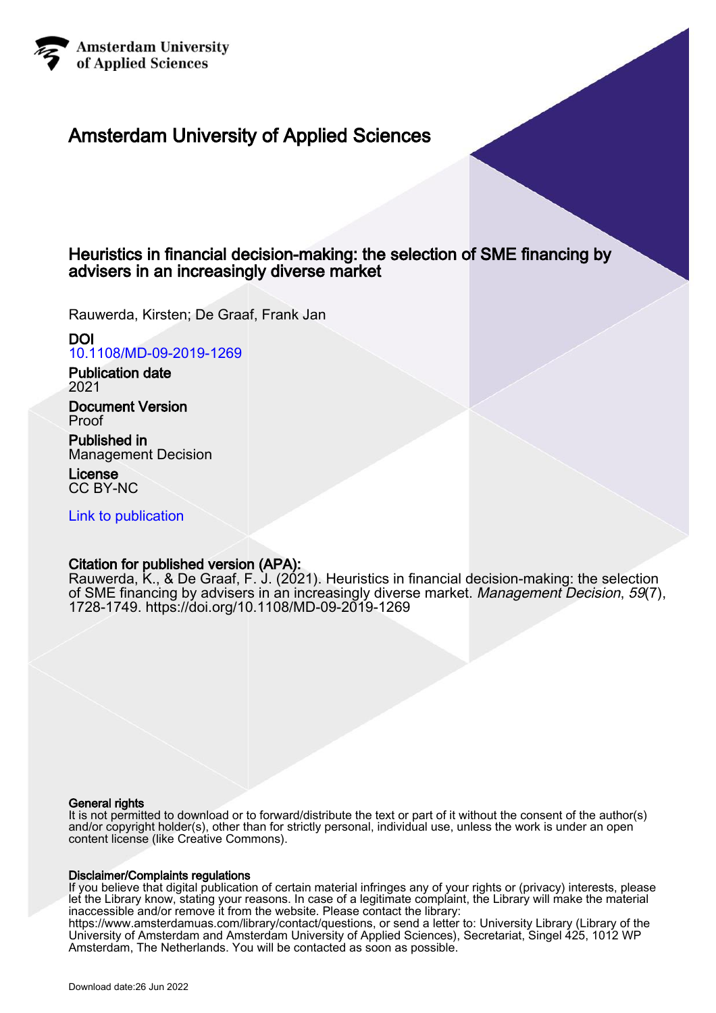

## Amsterdam University of Applied Sciences

## Heuristics in financial decision-making: the selection of SME financing by advisers in an increasingly diverse market

Rauwerda, Kirsten; De Graaf, Frank Jan

### DOI

[10.1108/MD-09-2019-1269](https://doi.org/10.1108/MD-09-2019-1269)

Publication date 2021

Document Version Proof

Published in Management Decision

License CC BY-NC

[Link to publication](https://research.hva.nl/en/publications/eed402e7-5892-42ec-a60d-16bf5bace51a)

## Citation for published version (APA):

Rauwerda, K., & De Graaf, F. J. (2021). Heuristics in financial decision-making: the selection of SME financing by advisers in an increasingly diverse market. Management Decision, 59(7), 1728-1749.<https://doi.org/10.1108/MD-09-2019-1269>

#### General rights

It is not permitted to download or to forward/distribute the text or part of it without the consent of the author(s) and/or copyright holder(s), other than for strictly personal, individual use, unless the work is under an open content license (like Creative Commons).

#### Disclaimer/Complaints regulations

If you believe that digital publication of certain material infringes any of your rights or (privacy) interests, please let the Library know, stating your reasons. In case of a legitimate complaint, the Library will make the material inaccessible and/or remove it from the website. Please contact the library:

https://www.amsterdamuas.com/library/contact/questions, or send a letter to: University Library (Library of the University of Amsterdam and Amsterdam University of Applied Sciences), Secretariat, Singel 425, 1012 WP Amsterdam, The Netherlands. You will be contacted as soon as possible.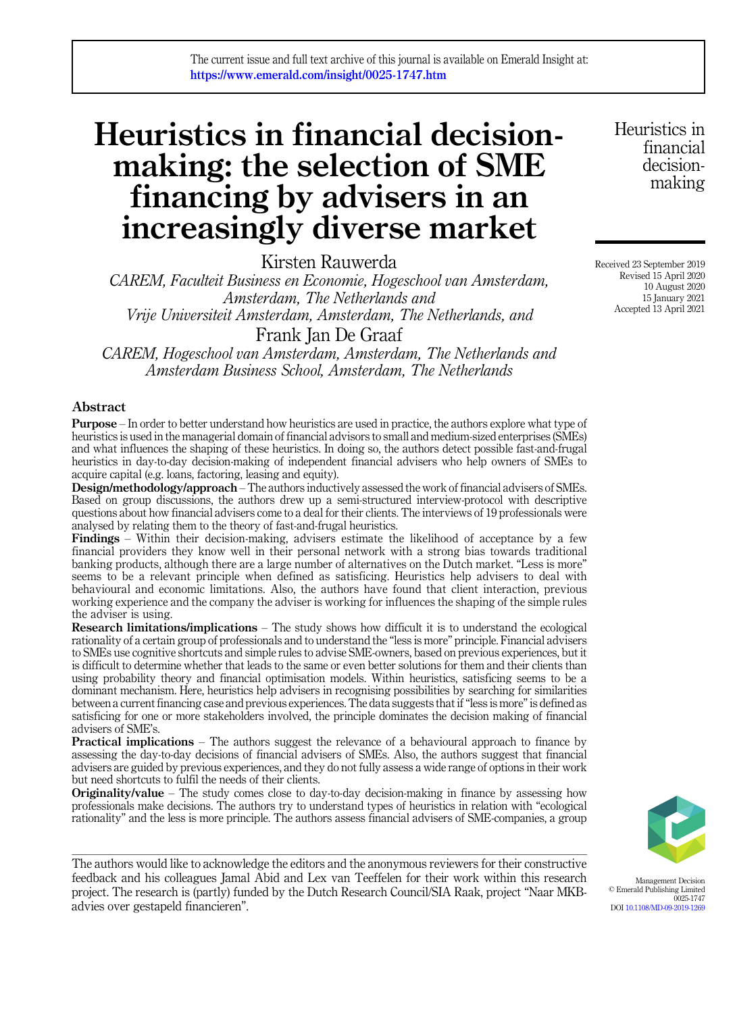# Heuristics in financial decisionmaking: the selection of SME financing by advisers in an increasingly diverse market

Kirsten Rauwerda

CAREM, Faculteit Business en Economie, Hogeschool van Amsterdam, Amsterdam, The Netherlands and Vrije Universiteit Amsterdam, Amsterdam, The Netherlands, and Frank Jan De Graaf

CAREM, Hogeschool van Amsterdam, Amsterdam, The Netherlands and Amsterdam Business School, Amsterdam, The Netherlands

#### Abstract

Purpose – In order to better understand how heuristics are used in practice, the authors explore what type of heuristics is used in the managerial domain of financial advisors to small and medium-sized enterprises (SMEs) and what influences the shaping of these heuristics. In doing so, the authors detect possible fast-and-frugal heuristics in day-to-day decision-making of independent financial advisers who help owners of SMEs to acquire capital (e.g. loans, factoring, leasing and equity).

Design/methodology/approach – The authors inductively assessed the work of financial advisers of SMEs. Based on group discussions, the authors drew up a semi-structured interview-protocol with descriptive questions about how financial advisers come to a deal for their clients. The interviews of 19 professionals were analysed by relating them to the theory of fast-and-frugal heuristics.

**Findings** – Within their decision-making, advisers estimate the likelihood of acceptance by a few financial providers they know well in their personal network with a strong bias towards traditional banking products, although there are a large number of alternatives on the Dutch market. "Less is more" seems to be a relevant principle when defined as satisficing. Heuristics help advisers to deal with behavioural and economic limitations. Also, the authors have found that client interaction, previous working experience and the company the adviser is working for influences the shaping of the simple rules the adviser is using.

Research limitations/implications – The study shows how difficult it is to understand the ecological rationality of a certain group of professionals and to understand the "less is more" principle. Financial advisers to SMEs use cognitive shortcuts and simple rules to advise SME-owners, based on previous experiences, but it is difficult to determine whether that leads to the same or even better solutions for them and their clients than using probability theory and financial optimisation models. Within heuristics, satisficing seems to be a dominant mechanism. Here, heuristics help advisers in recognising possibilities by searching for similarities between a current financing case and previous experiences. The data suggests that if"less is more"is defined as satisficing for one or more stakeholders involved, the principle dominates the decision making of financial advisers of SME's.

Practical implications – The authors suggest the relevance of a behavioural approach to finance by assessing the day-to-day decisions of financial advisers of SMEs. Also, the authors suggest that financial advisers are guided by previous experiences, and they do not fully assess a wide range of options in their work but need shortcuts to fulfil the needs of their clients.

**Originality/value** – The study comes close to day-to-day decision-making in finance by assessing how professionals make decisions. The authors try to understand types of heuristics in relation with "ecological rationality" and the less is more principle. The authors assess financial advisers of SME-companies, a group

The authors would like to acknowledge the editors and the anonymous reviewers for their constructive feedback and his colleagues Jamal Abid and Lex van Teeffelen for their work within this research project. The research is (partly) funded by the Dutch Research Council/SIA Raak, project "Naar MKBadvies over gestapeld financieren".

Heuristics in financial decisionmaking

Received 23 September 2019 Revised 15 April 2020 10 August 2020 15 January 2021 Accepted 13 April 2021



Management Decision © Emerald Publishing Limited 0025-1747 DOI [10.1108/MD-09-2019-1269](https://doi.org/10.1108/MD-09-2019-1269)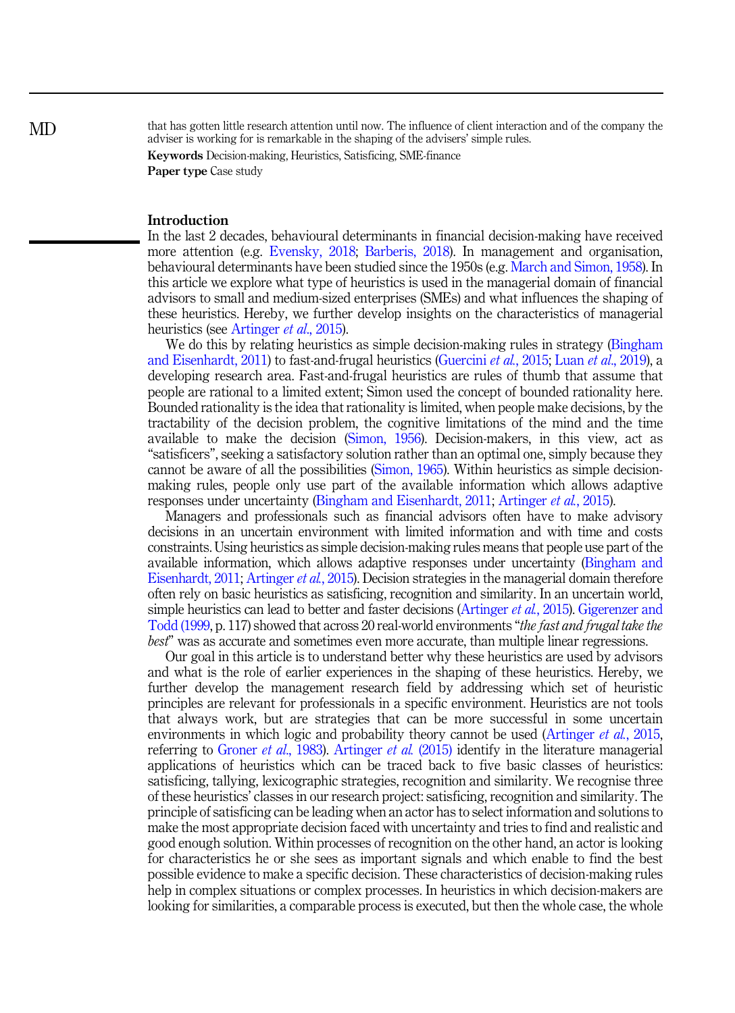that has gotten little research attention until now. The influence of client interaction and of the company the adviser is working for is remarkable in the shaping of the advisers' simple rules.

Keywords Decision-making, Heuristics, Satisficing, SME-finance Paper type Case study

#### Introduction

In the last 2 decades, behavioural determinants in financial decision-making have received more attention (e.g. [Evensky, 2018;](#page-21-0) [Barberis, 2018\)](#page-20-0). In management and organisation, behavioural determinants have been studied since the 1950s (e.g. [March and Simon, 1958](#page-21-0)). In this article we explore what type of heuristics is used in the managerial domain of financial advisors to small and medium-sized enterprises (SMEs) and what influences the shaping of these heuristics. Hereby, we further develop insights on the characteristics of managerial heuristics (see [Artinger](#page-20-0) *et al.*, 2015).

We do this by relating heuristics as simple decision-making rules in strategy [\(Bingham](#page-20-0) [and Eisenhardt, 2011\)](#page-20-0) to fast-and-frugal heuristics [\(Guercini](#page-21-0) et al., 2015; Luan et al[., 2019\)](#page-21-0), a developing research area. Fast-and-frugal heuristics are rules of thumb that assume that people are rational to a limited extent; Simon used the concept of bounded rationality here. Bounded rationality is the idea that rationality is limited, when people make decisions, by the tractability of the decision problem, the cognitive limitations of the mind and the time available to make the decision ([Simon, 1956\)](#page-22-0). Decision-makers, in this view, act as "satisficers", seeking a satisfactory solution rather than an optimal one, simply because they cannot be aware of all the possibilities [\(Simon, 1965\)](#page-22-0). Within heuristics as simple decisionmaking rules, people only use part of the available information which allows adaptive responses under uncertainty [\(Bingham and Eisenhardt, 2011](#page-20-0); [Artinger](#page-20-0) et al., 2015).

Managers and professionals such as financial advisors often have to make advisory decisions in an uncertain environment with limited information and with time and costs constraints. Using heuristics as simple decision-making rules means that people use part of the available information, which allows adaptive responses under uncertainty ([Bingham and](#page-20-0) [Eisenhardt, 2011](#page-20-0); [Artinger](#page-20-0) et al., 2015). Decision strategies in the managerial domain therefore often rely on basic heuristics as satisficing, recognition and similarity. In an uncertain world, simple heuristics can lead to better and faster decisions [\(Artinger](#page-20-0) *et al.*, 2015). [Gigerenzer and](#page-21-0) [Todd \(1999,](#page-21-0) p. 117) showed that across 20 real-world environments "the fast and frugal take the best" was as accurate and sometimes even more accurate, than multiple linear regressions.

Our goal in this article is to understand better why these heuristics are used by advisors and what is the role of earlier experiences in the shaping of these heuristics. Hereby, we further develop the management research field by addressing which set of heuristic principles are relevant for professionals in a specific environment. Heuristics are not tools that always work, but are strategies that can be more successful in some uncertain environments in which logic and probability theory cannot be used [\(Artinger](#page-20-0) *et al.*, 2015, referring to [Groner](#page-21-0) *et al.*, 1983). [Artinger](#page-20-0) *et al.* (2015) identify in the literature managerial applications of heuristics which can be traced back to five basic classes of heuristics: satisficing, tallying, lexicographic strategies, recognition and similarity. We recognise three of these heuristics' classes in our research project: satisficing, recognition and similarity. The principle of satisficing can be leading when an actor has to select information and solutions to make the most appropriate decision faced with uncertainty and tries to find and realistic and good enough solution. Within processes of recognition on the other hand, an actor is looking for characteristics he or she sees as important signals and which enable to find the best possible evidence to make a specific decision. These characteristics of decision-making rules help in complex situations or complex processes. In heuristics in which decision-makers are looking for similarities, a comparable process is executed, but then the whole case, the whole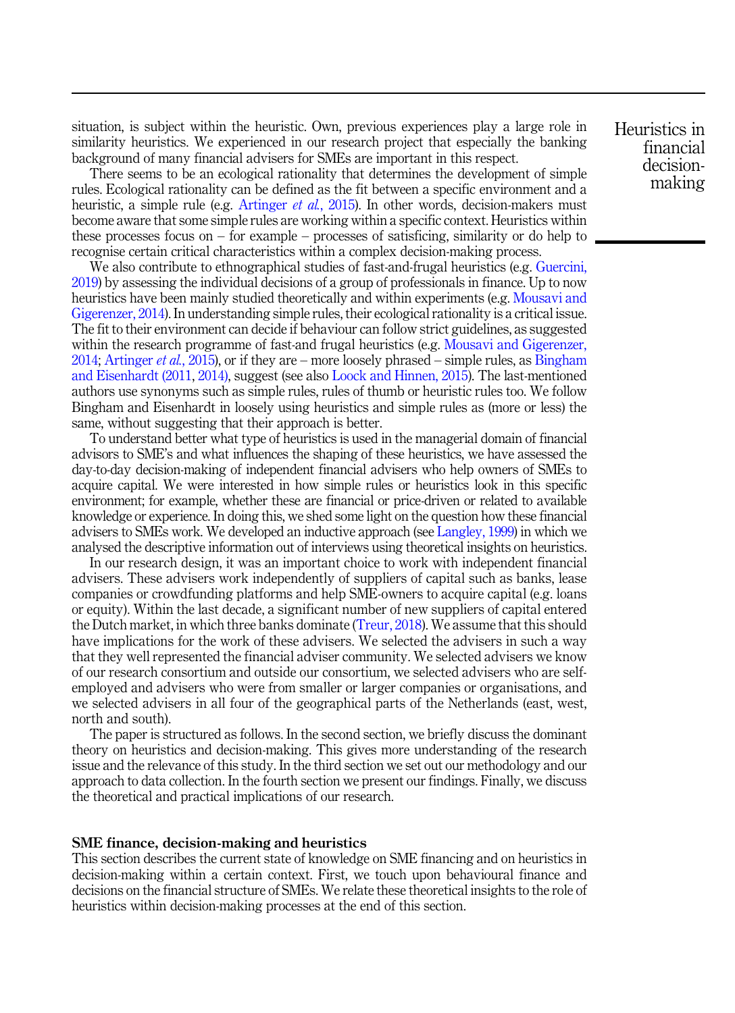situation, is subject within the heuristic. Own, previous experiences play a large role in similarity heuristics. We experienced in our research project that especially the banking background of many financial advisers for SMEs are important in this respect.

There seems to be an ecological rationality that determines the development of simple rules. Ecological rationality can be defined as the fit between a specific environment and a heuristic, a simple rule (e.g. [Artinger](#page-20-0) *et al.*, 2015). In other words, decision-makers must become aware that some simple rules are working within a specific context. Heuristics within these processes focus on – for example – processes of satisficing, similarity or do help to recognise certain critical characteristics within a complex decision-making process.

We also contribute to ethnographical studies of fast-and-frugal heuristics (e.g. [Guercini,](#page-21-0) [2019\)](#page-21-0) by assessing the individual decisions of a group of professionals in finance. Up to now heuristics have been mainly studied theoretically and within experiments (e.g. [Mousavi and](#page-22-0) [Gigerenzer, 2014\)](#page-22-0). In understanding simple rules, their ecological rationality is a critical issue. The fit to their environment can decide if behaviour can follow strict guidelines, as suggested within the research programme of fast-and frugal heuristics (e.g. [Mousavi and Gigerenzer,](#page-22-0) [2014;](#page-22-0) [Artinger](#page-20-0) *et al.*, 2015), or if they are – more loosely phrased – simple rules, as  $\overline{\text{Bingham}}$  $\overline{\text{Bingham}}$  $\overline{\text{Bingham}}$ [and Eisenhardt \(2011,](#page-20-0) [2014\)](#page-20-0), suggest (see also [Loock and Hinnen, 2015](#page-21-0)). The last-mentioned authors use synonyms such as simple rules, rules of thumb or heuristic rules too. We follow Bingham and Eisenhardt in loosely using heuristics and simple rules as (more or less) the same, without suggesting that their approach is better.

To understand better what type of heuristics is used in the managerial domain of financial advisors to SME's and what influences the shaping of these heuristics, we have assessed the day-to-day decision-making of independent financial advisers who help owners of SMEs to acquire capital. We were interested in how simple rules or heuristics look in this specific environment; for example, whether these are financial or price-driven or related to available knowledge or experience. In doing this, we shed some light on the question how these financial advisers to SMEs work. We developed an inductive approach (see [Langley, 1999](#page-21-0)) in which we analysed the descriptive information out of interviews using theoretical insights on heuristics.

In our research design, it was an important choice to work with independent financial advisers. These advisers work independently of suppliers of capital such as banks, lease companies or crowdfunding platforms and help SME-owners to acquire capital (e.g. loans or equity). Within the last decade, a significant number of new suppliers of capital entered the Dutch market, in which three banks dominate ([Treur, 2018](#page-22-0)). We assume that this should have implications for the work of these advisers. We selected the advisers in such a way that they well represented the financial adviser community. We selected advisers we know of our research consortium and outside our consortium, we selected advisers who are selfemployed and advisers who were from smaller or larger companies or organisations, and we selected advisers in all four of the geographical parts of the Netherlands (east, west, north and south).

The paper is structured as follows. In the second section, we briefly discuss the dominant theory on heuristics and decision-making. This gives more understanding of the research issue and the relevance of this study. In the third section we set out our methodology and our approach to data collection. In the fourth section we present our findings. Finally, we discuss the theoretical and practical implications of our research.

#### SME finance, decision-making and heuristics

This section describes the current state of knowledge on SME financing and on heuristics in decision-making within a certain context. First, we touch upon behavioural finance and decisions on the financial structure of SMEs. We relate these theoretical insights to the role of heuristics within decision-making processes at the end of this section.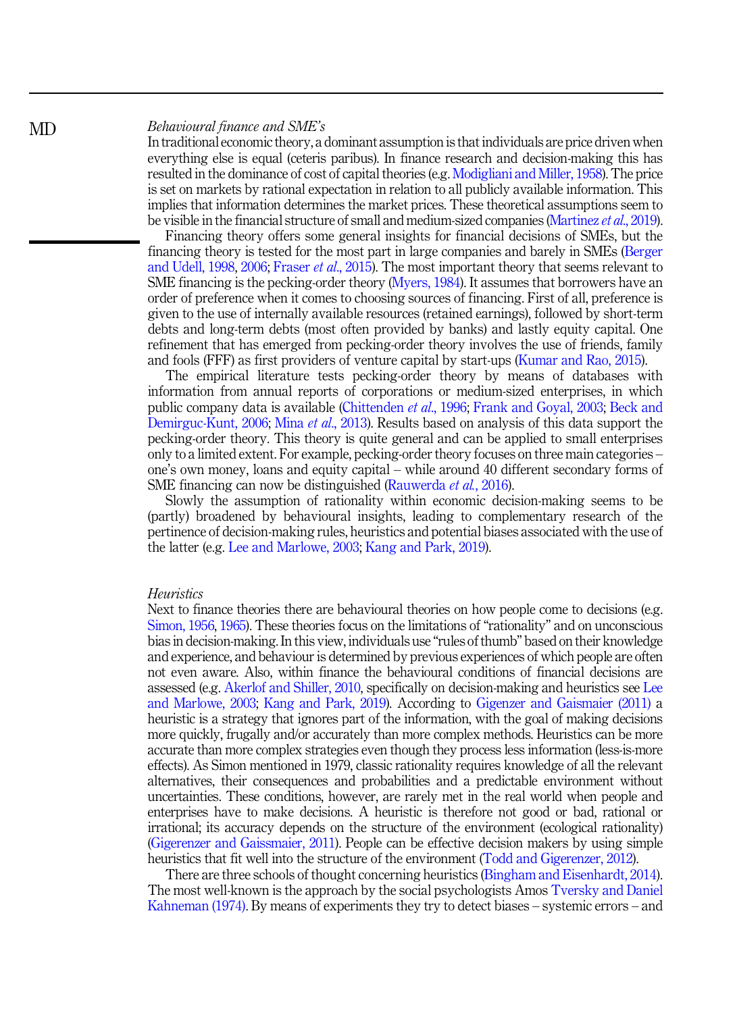#### Behavioural finance and SME's

In traditional economic theory, a dominant assumption is that individuals are price driven when everything else is equal (ceteris paribus). In finance research and decision-making this has resulted in the dominance of cost of capital theories (e.g. [Modigliani and Miller, 1958](#page-22-0)). The price is set on markets by rational expectation in relation to all publicly available information. This implies that information determines the market prices. These theoretical assumptions seem to be visible in the financial structure of small and medium-sized companies [\(Martinez](#page-22-0) et al., 2019).

Financing theory offers some general insights for financial decisions of SMEs, but the financing theory is tested for the most part in large companies and barely in SMEs [\(Berger](#page-20-0) [and Udell, 1998,](#page-20-0) [2006](#page-20-0); [Fraser](#page-21-0) et al., 2015). The most important theory that seems relevant to SME financing is the pecking-order theory [\(Myers, 1984\)](#page-22-0). It assumes that borrowers have an order of preference when it comes to choosing sources of financing. First of all, preference is given to the use of internally available resources (retained earnings), followed by short-term debts and long-term debts (most often provided by banks) and lastly equity capital. One refinement that has emerged from pecking-order theory involves the use of friends, family and fools (FFF) as first providers of venture capital by start-ups [\(Kumar and Rao, 2015\)](#page-21-0).

The empirical literature tests pecking-order theory by means of databases with information from annual reports of corporations or medium-sized enterprises, in which public company data is available ([Chittenden](#page-21-0) et al., 1996; [Frank and Goyal, 2003](#page-21-0); [Beck and](#page-20-0) [Demirguc-Kunt, 2006](#page-20-0); Mina *et al.*, 2013). Results based on analysis of this data support the pecking-order theory. This theory is quite general and can be applied to small enterprises only to a limited extent. For example, pecking-order theory focuses on three main categories – one's own money, loans and equity capital – while around 40 different secondary forms of SME financing can now be distinguished ([Rauwerda](#page-22-0) et al., 2016).

Slowly the assumption of rationality within economic decision-making seems to be (partly) broadened by behavioural insights, leading to complementary research of the pertinence of decision-making rules, heuristics and potential biases associated with the use of the latter (e.g. [Lee and Marlowe, 2003](#page-21-0); [Kang and Park, 2019\)](#page-21-0).

#### Heuristics

Next to finance theories there are behavioural theories on how people come to decisions (e.g. [Simon, 1956,](#page-22-0) [1965](#page-22-0)). These theories focus on the limitations of "rationality" and on unconscious bias in decision-making. In this view, individuals use "rules of thumb" based on their knowledge and experience, and behaviour is determined by previous experiences of which people are often not even aware. Also, within finance the behavioural conditions of financial decisions are assessed (e.g. [Akerlof and Shiller, 2010](#page-20-0), specifically on decision-making and heuristics see [Lee](#page-21-0) [and Marlowe, 2003;](#page-21-0) [Kang and Park, 2019](#page-21-0)). According to [Gigenzer and Gaismaier \(2011\)](#page-21-0) a heuristic is a strategy that ignores part of the information, with the goal of making decisions more quickly, frugally and/or accurately than more complex methods. Heuristics can be more accurate than more complex strategies even though they process less information (less-is-more effects). As Simon mentioned in 1979, classic rationality requires knowledge of all the relevant alternatives, their consequences and probabilities and a predictable environment without uncertainties. These conditions, however, are rarely met in the real world when people and enterprises have to make decisions. A heuristic is therefore not good or bad, rational or irrational; its accuracy depends on the structure of the environment (ecological rationality) [\(Gigerenzer and Gaissmaier, 2011](#page-21-0)). People can be effective decision makers by using simple heuristics that fit well into the structure of the environment [\(Todd and Gigerenzer, 2012\)](#page-22-0).

There are three schools of thought concerning heuristics [\(Bingham and Eisenhardt, 2014\)](#page-20-0). The most well-known is the approach by the social psychologists Amos [Tversky and Daniel](#page-22-0) [Kahneman \(1974\).](#page-22-0) By means of experiments they try to detect biases – systemic errors – and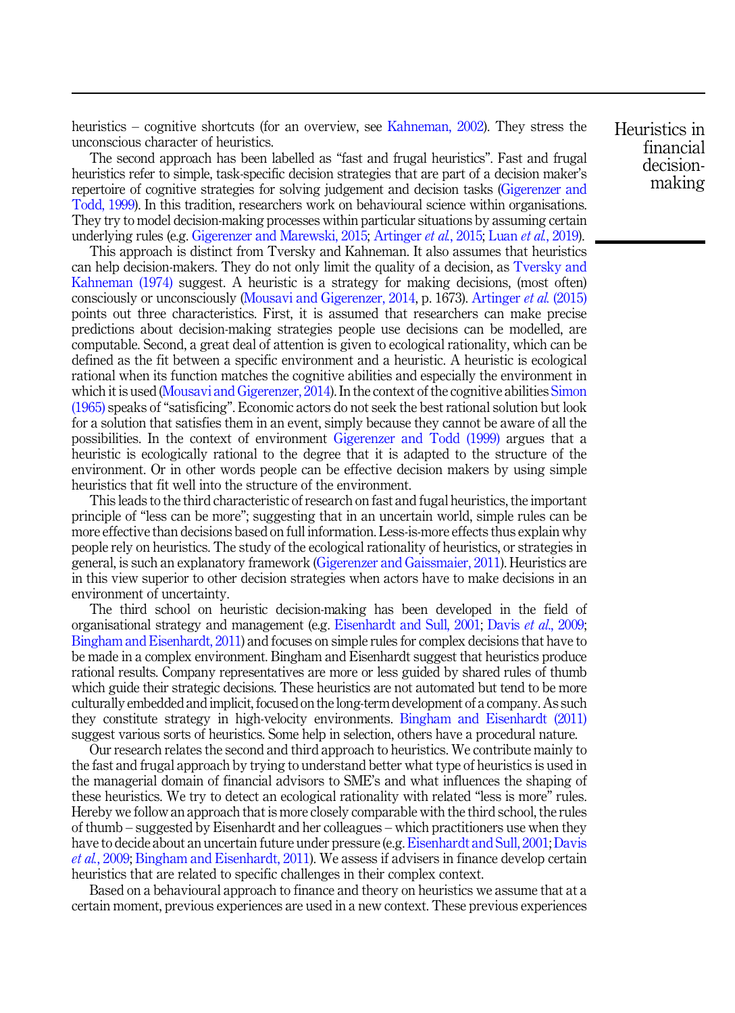heuristics – cognitive shortcuts (for an overview, see [Kahneman, 2002\)](#page-21-0). They stress the unconscious character of heuristics.

The second approach has been labelled as "fast and frugal heuristics". Fast and frugal heuristics refer to simple, task-specific decision strategies that are part of a decision maker's repertoire of cognitive strategies for solving judgement and decision tasks [\(Gigerenzer and](#page-21-0) [Todd, 1999](#page-21-0)). In this tradition, researchers work on behavioural science within organisations. They try to model decision-making processes within particular situations by assuming certain underlying rules (e.g. [Gigerenzer and Marewski, 2015;](#page-21-0) [Artinger](#page-20-0) et al., 2015; Luan et al.[, 2019](#page-21-0)).

This approach is distinct from Tversky and Kahneman. It also assumes that heuristics can help decision-makers. They do not only limit the quality of a decision, as [Tversky and](#page-22-0) [Kahneman \(1974\)](#page-22-0) suggest. A heuristic is a strategy for making decisions, (most often) consciously or unconsciously ([Mousavi and Gigerenzer, 2014,](#page-22-0) p. 1673). [Artinger](#page-20-0) et al. (2015) points out three characteristics. First, it is assumed that researchers can make precise predictions about decision-making strategies people use decisions can be modelled, are computable. Second, a great deal of attention is given to ecological rationality, which can be defined as the fit between a specific environment and a heuristic. A heuristic is ecological rational when its function matches the cognitive abilities and especially the environment in which it is used [\(Mousavi and Gigerenzer, 2014\)](#page-22-0). In the context of the cognitive abilities [Simon](#page-22-0) [\(1965\)](#page-22-0) speaks of "satisficing". Economic actors do not seek the best rational solution but look for a solution that satisfies them in an event, simply because they cannot be aware of all the possibilities. In the context of environment [Gigerenzer and Todd \(1999\)](#page-21-0) argues that a heuristic is ecologically rational to the degree that it is adapted to the structure of the environment. Or in other words people can be effective decision makers by using simple heuristics that fit well into the structure of the environment.

This leads to the third characteristic of research on fast and fugal heuristics, the important principle of "less can be more"; suggesting that in an uncertain world, simple rules can be more effective than decisions based on full information. Less-is-more effects thus explain why people rely on heuristics. The study of the ecological rationality of heuristics, or strategies in general, is such an explanatory framework ([Gigerenzer and Gaissmaier, 2011](#page-21-0)). Heuristics are in this view superior to other decision strategies when actors have to make decisions in an environment of uncertainty.

The third school on heuristic decision-making has been developed in the field of organisational strategy and management (e.g. [Eisenhardt and Sull, 2001;](#page-21-0) Davis et al[., 2009](#page-21-0); [Bingham and Eisenhardt, 2011](#page-20-0)) and focuses on simple rules for complex decisions that have to be made in a complex environment. Bingham and Eisenhardt suggest that heuristics produce rational results. Company representatives are more or less guided by shared rules of thumb which guide their strategic decisions. These heuristics are not automated but tend to be more culturally embedded and implicit, focused on the long-term development of a company. As such they constitute strategy in high-velocity environments. [Bingham and Eisenhardt \(2011\)](#page-20-0) suggest various sorts of heuristics. Some help in selection, others have a procedural nature.

Our research relates the second and third approach to heuristics. We contribute mainly to the fast and frugal approach by trying to understand better what type of heuristics is used in the managerial domain of financial advisors to SME's and what influences the shaping of these heuristics. We try to detect an ecological rationality with related "less is more" rules. Hereby we follow an approach that is more closely comparable with the third school, the rules of thumb – suggested by Eisenhardt and her colleagues – which practitioners use when they have to decide about an uncertain future under pressure (e.g. [Eisenhardt and Sull, 2001;](#page-21-0) [Davis](#page-21-0) et al.[, 2009](#page-21-0); [Bingham and Eisenhardt, 2011](#page-20-0)). We assess if advisers in finance develop certain heuristics that are related to specific challenges in their complex context.

Based on a behavioural approach to finance and theory on heuristics we assume that at a certain moment, previous experiences are used in a new context. These previous experiences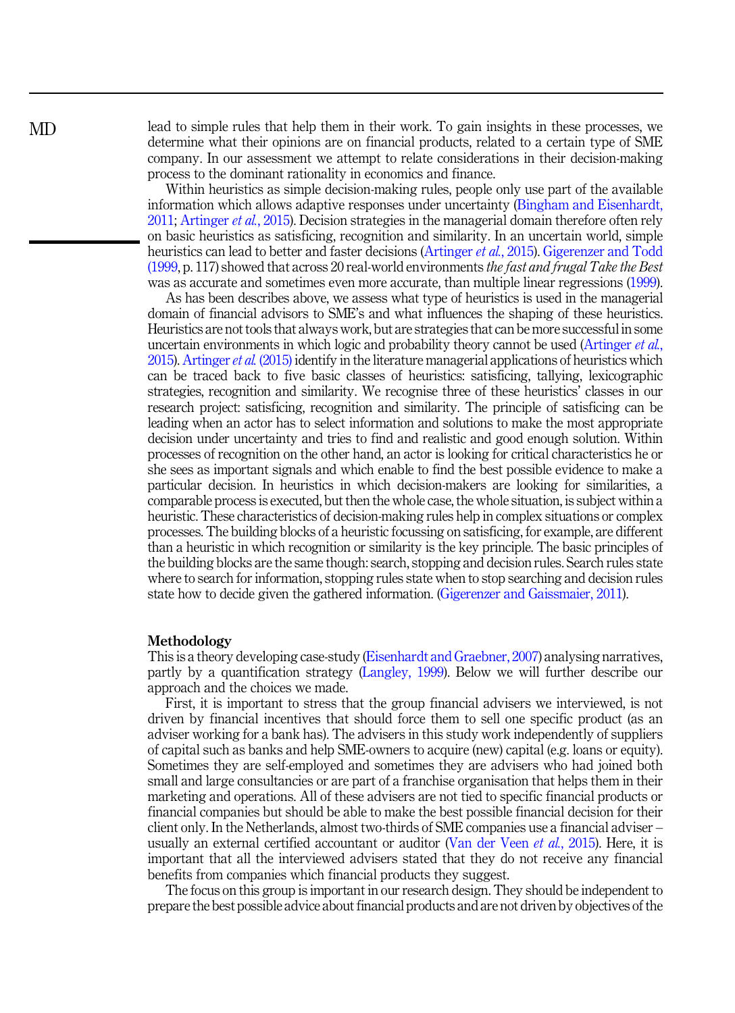lead to simple rules that help them in their work. To gain insights in these processes, we determine what their opinions are on financial products, related to a certain type of SME company. In our assessment we attempt to relate considerations in their decision-making process to the dominant rationality in economics and finance.

Within heuristics as simple decision-making rules, people only use part of the available information which allows adaptive responses under uncertainty [\(Bingham and Eisenhardt,](#page-20-0) [2011;](#page-20-0) [Artinger](#page-20-0) et al., 2015). Decision strategies in the managerial domain therefore often rely on basic heuristics as satisficing, recognition and similarity. In an uncertain world, simple heuristics can lead to better and faster decisions ([Artinger](#page-20-0) et al., 2015). [Gigerenzer and Todd](#page-21-0) [\(1999](#page-21-0), p. 117) showed that across 20 real-world environments the fast and frugal Take the Best was as accurate and sometimes even more accurate, than multiple linear regressions [\(1999\)](#page-21-0).

As has been describes above, we assess what type of heuristics is used in the managerial domain of financial advisors to SME's and what influences the shaping of these heuristics. Heuristics are not tools that always work, but are strategies that can be more successful in some uncertain environments in which logic and probability theory cannot be used ([Artinger](#page-20-0) *et al.*, [2015\)](#page-20-0). [Artinger](#page-20-0) *et al.* (2015) identify in the literature managerial applications of heuristics which can be traced back to five basic classes of heuristics: satisficing, tallying, lexicographic strategies, recognition and similarity. We recognise three of these heuristics' classes in our research project: satisficing, recognition and similarity. The principle of satisficing can be leading when an actor has to select information and solutions to make the most appropriate decision under uncertainty and tries to find and realistic and good enough solution. Within processes of recognition on the other hand, an actor is looking for critical characteristics he or she sees as important signals and which enable to find the best possible evidence to make a particular decision. In heuristics in which decision-makers are looking for similarities, a comparable process is executed, but then the whole case, the whole situation, is subject within a heuristic. These characteristics of decision-making rules help in complex situations or complex processes. The building blocks of a heuristic focussing on satisficing, for example, are different than a heuristic in which recognition or similarity is the key principle. The basic principles of the building blocks are the same though: search, stopping and decision rules. Search rules state where to search for information, stopping rules state when to stop searching and decision rules state how to decide given the gathered information. ([Gigerenzer and Gaissmaier, 2011\)](#page-21-0).

#### Methodology

This is a theory developing case-study ([Eisenhardt and Graebner, 2007\)](#page-21-0) analysing narratives, partly by a quantification strategy [\(Langley, 1999\)](#page-21-0). Below we will further describe our approach and the choices we made.

First, it is important to stress that the group financial advisers we interviewed, is not driven by financial incentives that should force them to sell one specific product (as an adviser working for a bank has). The advisers in this study work independently of suppliers of capital such as banks and help SME-owners to acquire (new) capital (e.g. loans or equity). Sometimes they are self-employed and sometimes they are advisers who had joined both small and large consultancies or are part of a franchise organisation that helps them in their marketing and operations. All of these advisers are not tied to specific financial products or financial companies but should be able to make the best possible financial decision for their client only. In the Netherlands, almost two-thirds of SME companies use a financial adviser – usually an external certified accountant or auditor [\(Van der Veen](#page-22-0) *et al.*, 2015). Here, it is important that all the interviewed advisers stated that they do not receive any financial benefits from companies which financial products they suggest.

The focus on this group is important in our research design. They should be independent to prepare the best possible advice about financial products and are not driven by objectives of the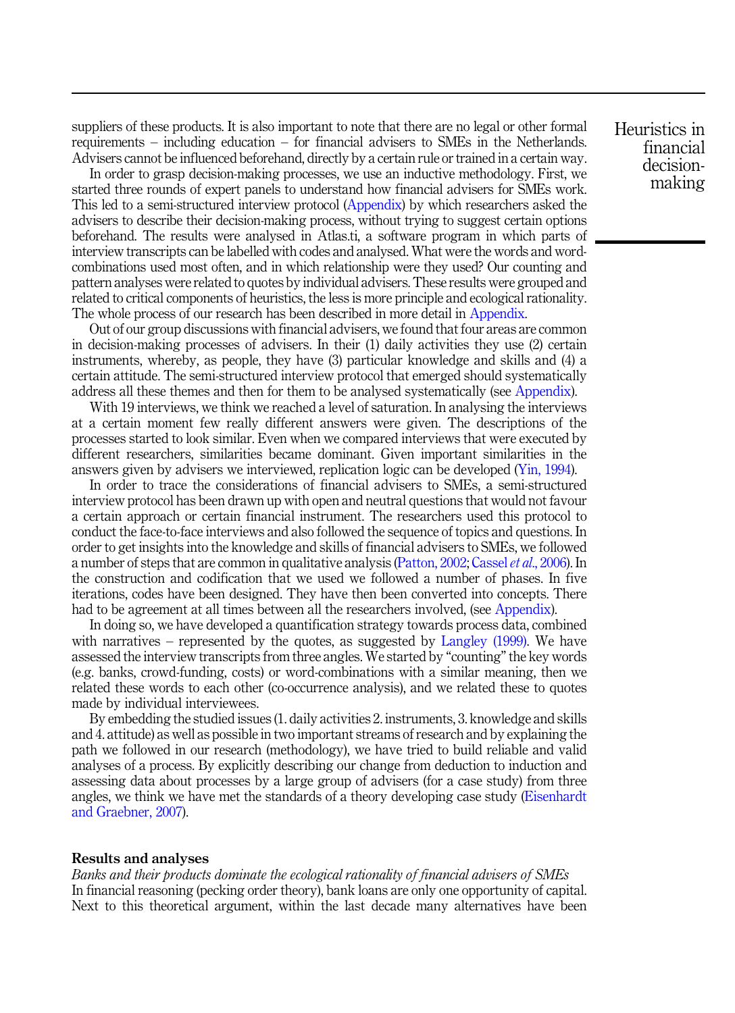suppliers of these products. It is also important to note that there are no legal or other formal requirements – including education – for financial advisers to SMEs in the Netherlands. Advisers cannot be influenced beforehand, directly by a certain rule or trained in a certain way.

In order to grasp decision-making processes, we use an inductive methodology. First, we started three rounds of expert panels to understand how financial advisers for SMEs work. This led to a semi-structured interview protocol (Appendix) by which researchers asked the advisers to describe their decision-making process, without trying to suggest certain options beforehand. The results were analysed in Atlas.ti, a software program in which parts of interview transcripts can be labelled with codes and analysed. What were the words and wordcombinations used most often, and in which relationship were they used? Our counting and pattern analyses were related to quotes by individual advisers. These results were grouped and related to critical components of heuristics, the less is more principle and ecological rationality. The whole process of our research has been described in more detail in Appendix.

Out of our group discussions with financial advisers, we found that four areas are common in decision-making processes of advisers. In their (1) daily activities they use (2) certain instruments, whereby, as people, they have (3) particular knowledge and skills and (4) a certain attitude. The semi-structured interview protocol that emerged should systematically address all these themes and then for them to be analysed systematically (see Appendix).

With 19 interviews, we think we reached a level of saturation. In analysing the interviews at a certain moment few really different answers were given. The descriptions of the processes started to look similar. Even when we compared interviews that were executed by different researchers, similarities became dominant. Given important similarities in the answers given by advisers we interviewed, replication logic can be developed ([Yin, 1994](#page-22-0)).

In order to trace the considerations of financial advisers to SMEs, a semi-structured interview protocol has been drawn up with open and neutral questions that would not favour a certain approach or certain financial instrument. The researchers used this protocol to conduct the face-to-face interviews and also followed the sequence of topics and questions. In order to get insights into the knowledge and skills of financial advisers to SMEs, we followed a number of steps that are common in qualitative analysis ([Patton, 2002](#page-22-0); [Cassel](#page-20-0) *et al.*, 2006). In the construction and codification that we used we followed a number of phases. In five iterations, codes have been designed. They have then been converted into concepts. There had to be agreement at all times between all the researchers involved, (see Appendix).

In doing so, we have developed a quantification strategy towards process data, combined with narratives – represented by the quotes, as suggested by [Langley \(1999\).](#page-21-0) We have assessed the interview transcripts from three angles. We started by "counting"the key words (e.g. banks, crowd-funding, costs) or word-combinations with a similar meaning, then we related these words to each other (co-occurrence analysis), and we related these to quotes made by individual interviewees.

By embedding the studied issues (1. daily activities 2. instruments, 3. knowledge and skills and 4. attitude) as well as possible in two important streams of research and by explaining the path we followed in our research (methodology), we have tried to build reliable and valid analyses of a process. By explicitly describing our change from deduction to induction and assessing data about processes by a large group of advisers (for a case study) from three angles, we think we have met the standards of a theory developing case study [\(Eisenhardt](#page-21-0) [and Graebner, 2007](#page-21-0)).

#### Results and analyses

Banks and their products dominate the ecological rationality of financial advisers of SMEs In financial reasoning (pecking order theory), bank loans are only one opportunity of capital. Next to this theoretical argument, within the last decade many alternatives have been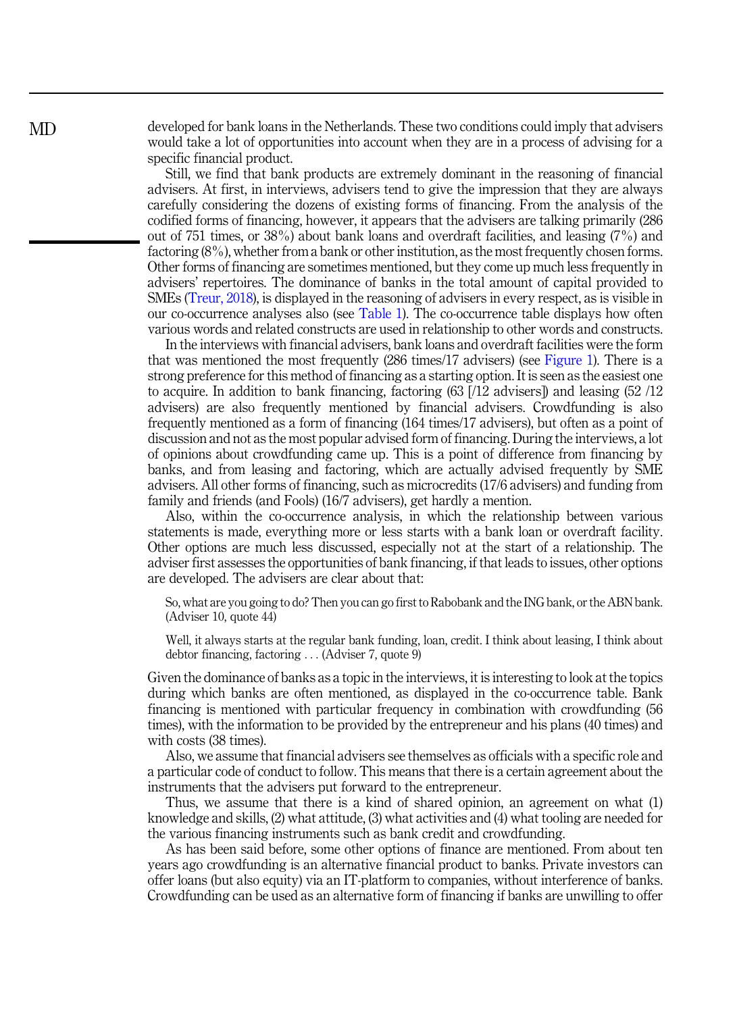developed for bank loans in the Netherlands. These two conditions could imply that advisers would take a lot of opportunities into account when they are in a process of advising for a specific financial product.

Still, we find that bank products are extremely dominant in the reasoning of financial advisers. At first, in interviews, advisers tend to give the impression that they are always carefully considering the dozens of existing forms of financing. From the analysis of the codified forms of financing, however, it appears that the advisers are talking primarily (286 out of 751 times, or 38%) about bank loans and overdraft facilities, and leasing (7%) and factoring (8%), whether from a bank or other institution, as the most frequently chosen forms. Other forms of financing are sometimes mentioned, but they come up much less frequently in advisers' repertoires. The dominance of banks in the total amount of capital provided to SMEs [\(Treur, 2018\)](#page-22-0), is displayed in the reasoning of advisers in every respect, as is visible in our co-occurrence analyses also (see [Table 1](#page-9-0)). The co-occurrence table displays how often various words and related constructs are used in relationship to other words and constructs.

In the interviews with financial advisers, bank loans and overdraft facilities were the form that was mentioned the most frequently (286 times/17 advisers) (see [Figure 1](#page-10-0)). There is a strong preference for this method of financing as a starting option. It is seen as the easiest one to acquire. In addition to bank financing, factoring (63 [/12 advisers]) and leasing (52 /12 advisers) are also frequently mentioned by financial advisers. Crowdfunding is also frequently mentioned as a form of financing (164 times/17 advisers), but often as a point of discussion and not as the most popular advised form of financing. During the interviews, a lot of opinions about crowdfunding came up. This is a point of difference from financing by banks, and from leasing and factoring, which are actually advised frequently by SME advisers. All other forms of financing, such as microcredits (17/6 advisers) and funding from family and friends (and Fools) (16/7 advisers), get hardly a mention.

Also, within the co-occurrence analysis, in which the relationship between various statements is made, everything more or less starts with a bank loan or overdraft facility. Other options are much less discussed, especially not at the start of a relationship. The adviser first assesses the opportunities of bank financing, if that leads to issues, other options are developed. The advisers are clear about that:

So, what are you going to do? Then you can go first to Rabobank and the ING bank, or the ABN bank. (Adviser 10, quote 44)

Well, it always starts at the regular bank funding, loan, credit. I think about leasing, I think about debtor financing, factoring ... (Adviser 7, quote 9)

Given the dominance of banks as a topic in the interviews, it is interesting to look at the topics during which banks are often mentioned, as displayed in the co-occurrence table. Bank financing is mentioned with particular frequency in combination with crowdfunding (56 times), with the information to be provided by the entrepreneur and his plans (40 times) and with costs (38 times).

Also, we assume that financial advisers see themselves as officials with a specific role and a particular code of conduct to follow. This means that there is a certain agreement about the instruments that the advisers put forward to the entrepreneur.

Thus, we assume that there is a kind of shared opinion, an agreement on what (1) knowledge and skills, (2) what attitude, (3) what activities and (4) what tooling are needed for the various financing instruments such as bank credit and crowdfunding.

As has been said before, some other options of finance are mentioned. From about ten years ago crowdfunding is an alternative financial product to banks. Private investors can offer loans (but also equity) via an IT-platform to companies, without interference of banks. Crowdfunding can be used as an alternative form of financing if banks are unwilling to offer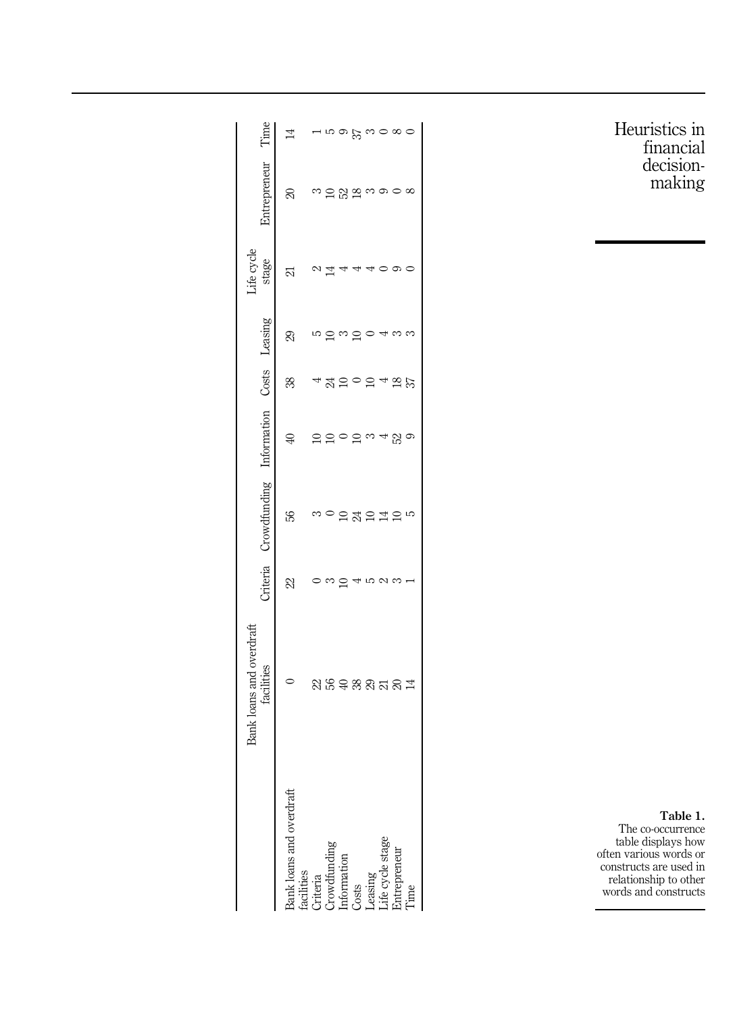<span id="page-9-0"></span>

|                                                                                                                                                 | loans and overdraf<br>facilities | Criteria | Crowdfunding Information Costs Leasing |                |        |    | Life cycle<br>stage | Entrepreneur    | Гime |
|-------------------------------------------------------------------------------------------------------------------------------------------------|----------------------------------|----------|----------------------------------------|----------------|--------|----|---------------------|-----------------|------|
|                                                                                                                                                 |                                  |          |                                        |                |        |    |                     |                 |      |
| Bank loans and overdraft<br>facilities<br>Criteria<br>Criteria<br>Crowdtunding<br>Losts<br>Life cycle stage<br>Life cycle stage<br>Entrepreneur |                                  | 22       | S,                                     | $\mathfrak{D}$ | 38     | S) | 21                  | 8               | 14   |
|                                                                                                                                                 | ನಿ ಜಿ                            |          |                                        |                |        |    |                     |                 |      |
|                                                                                                                                                 |                                  |          |                                        |                | A      |    |                     |                 |      |
|                                                                                                                                                 | $\oplus$                         |          |                                        |                | ⊆      |    |                     | ಜ               |      |
|                                                                                                                                                 | 88378                            |          | 24                                     |                |        |    |                     | $\overline{18}$ | 57   |
|                                                                                                                                                 |                                  |          | $\Xi$                                  |                |        |    |                     |                 |      |
|                                                                                                                                                 |                                  |          |                                        |                |        |    |                     |                 |      |
|                                                                                                                                                 |                                  |          |                                        | 23             | $^{8}$ |    |                     |                 | ∞    |
|                                                                                                                                                 | $\overline{14}$                  |          | S                                      |                | 57     |    |                     |                 |      |

Table 1. The co-occurrence table displays how often various words or constructs are used in relationship to other words and constructs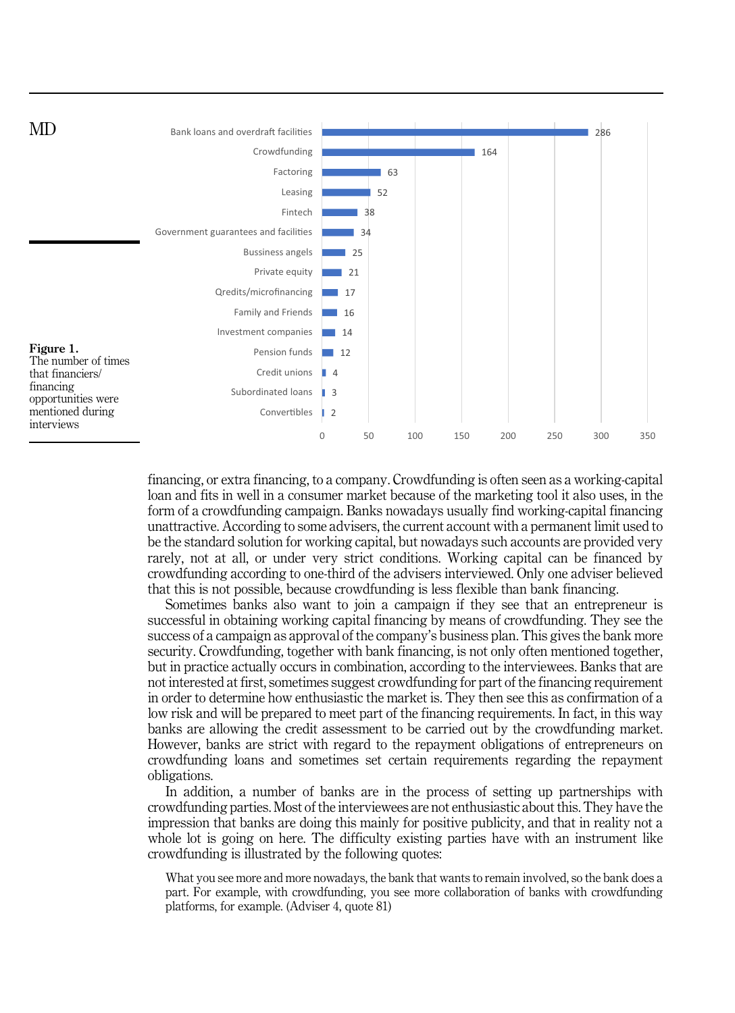<span id="page-10-0"></span>

financing, or extra financing, to a company. Crowdfunding is often seen as a working-capital loan and fits in well in a consumer market because of the marketing tool it also uses, in the form of a crowdfunding campaign. Banks nowadays usually find working-capital financing unattractive. According to some advisers, the current account with a permanent limit used to be the standard solution for working capital, but nowadays such accounts are provided very rarely, not at all, or under very strict conditions. Working capital can be financed by crowdfunding according to one-third of the advisers interviewed. Only one adviser believed that this is not possible, because crowdfunding is less flexible than bank financing.

Sometimes banks also want to join a campaign if they see that an entrepreneur is successful in obtaining working capital financing by means of crowdfunding. They see the success of a campaign as approval of the company's business plan. This gives the bank more security. Crowdfunding, together with bank financing, is not only often mentioned together, but in practice actually occurs in combination, according to the interviewees. Banks that are not interested at first, sometimes suggest crowdfunding for part of the financing requirement in order to determine how enthusiastic the market is. They then see this as confirmation of a low risk and will be prepared to meet part of the financing requirements. In fact, in this way banks are allowing the credit assessment to be carried out by the crowdfunding market. However, banks are strict with regard to the repayment obligations of entrepreneurs on crowdfunding loans and sometimes set certain requirements regarding the repayment obligations.

In addition, a number of banks are in the process of setting up partnerships with crowdfunding parties. Most of the interviewees are not enthusiastic about this. They have the impression that banks are doing this mainly for positive publicity, and that in reality not a whole lot is going on here. The difficulty existing parties have with an instrument like crowdfunding is illustrated by the following quotes:

What you see more and more nowadays, the bank that wants to remain involved, so the bank does a part. For example, with crowdfunding, you see more collaboration of banks with crowdfunding platforms, for example. (Adviser 4, quote 81)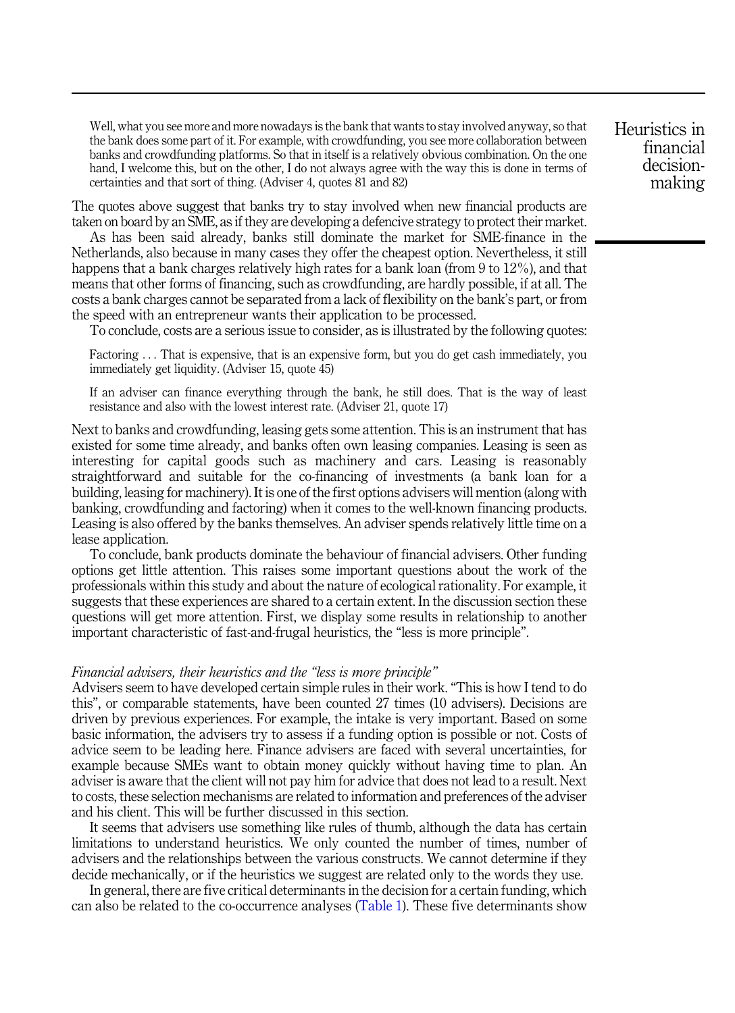Well, what you see more and more nowadays is the bank that wants to stay involved anyway, so that the bank does some part of it. For example, with crowdfunding, you see more collaboration between banks and crowdfunding platforms. So that in itself is a relatively obvious combination. On the one hand, I welcome this, but on the other, I do not always agree with the way this is done in terms of certainties and that sort of thing. (Adviser 4, quotes 81 and 82)

The quotes above suggest that banks try to stay involved when new financial products are taken on board by an SME, as if they are developing a defencive strategy to protect their market.

As has been said already, banks still dominate the market for SME-finance in the Netherlands, also because in many cases they offer the cheapest option. Nevertheless, it still happens that a bank charges relatively high rates for a bank loan (from 9 to 12%), and that means that other forms of financing, such as crowdfunding, are hardly possible, if at all. The costs a bank charges cannot be separated from a lack of flexibility on the bank's part, or from the speed with an entrepreneur wants their application to be processed.

To conclude, costs are a serious issue to consider, as is illustrated by the following quotes:

Factoring ... That is expensive, that is an expensive form, but you do get cash immediately, you immediately get liquidity. (Adviser 15, quote 45)

If an adviser can finance everything through the bank, he still does. That is the way of least resistance and also with the lowest interest rate. (Adviser 21, quote 17)

Next to banks and crowdfunding, leasing gets some attention. This is an instrument that has existed for some time already, and banks often own leasing companies. Leasing is seen as interesting for capital goods such as machinery and cars. Leasing is reasonably straightforward and suitable for the co-financing of investments (a bank loan for a building, leasing for machinery). It is one of the first options advisers will mention (along with banking, crowdfunding and factoring) when it comes to the well-known financing products. Leasing is also offered by the banks themselves. An adviser spends relatively little time on a lease application.

To conclude, bank products dominate the behaviour of financial advisers. Other funding options get little attention. This raises some important questions about the work of the professionals within this study and about the nature of ecological rationality. For example, it suggests that these experiences are shared to a certain extent. In the discussion section these questions will get more attention. First, we display some results in relationship to another important characteristic of fast-and-frugal heuristics, the "less is more principle".

#### Financial advisers, their heuristics and the "less is more principle"

Advisers seem to have developed certain simple rules in their work. "This is how I tend to do this", or comparable statements, have been counted 27 times (10 advisers). Decisions are driven by previous experiences. For example, the intake is very important. Based on some basic information, the advisers try to assess if a funding option is possible or not. Costs of advice seem to be leading here. Finance advisers are faced with several uncertainties, for example because SMEs want to obtain money quickly without having time to plan. An adviser is aware that the client will not pay him for advice that does not lead to a result. Next to costs, these selection mechanisms are related to information and preferences of the adviser and his client. This will be further discussed in this section.

It seems that advisers use something like rules of thumb, although the data has certain limitations to understand heuristics. We only counted the number of times, number of advisers and the relationships between the various constructs. We cannot determine if they decide mechanically, or if the heuristics we suggest are related only to the words they use.

In general, there are five critical determinants in the decision for a certain funding, which can also be related to the co-occurrence analyses ([Table 1](#page-9-0)). These five determinants show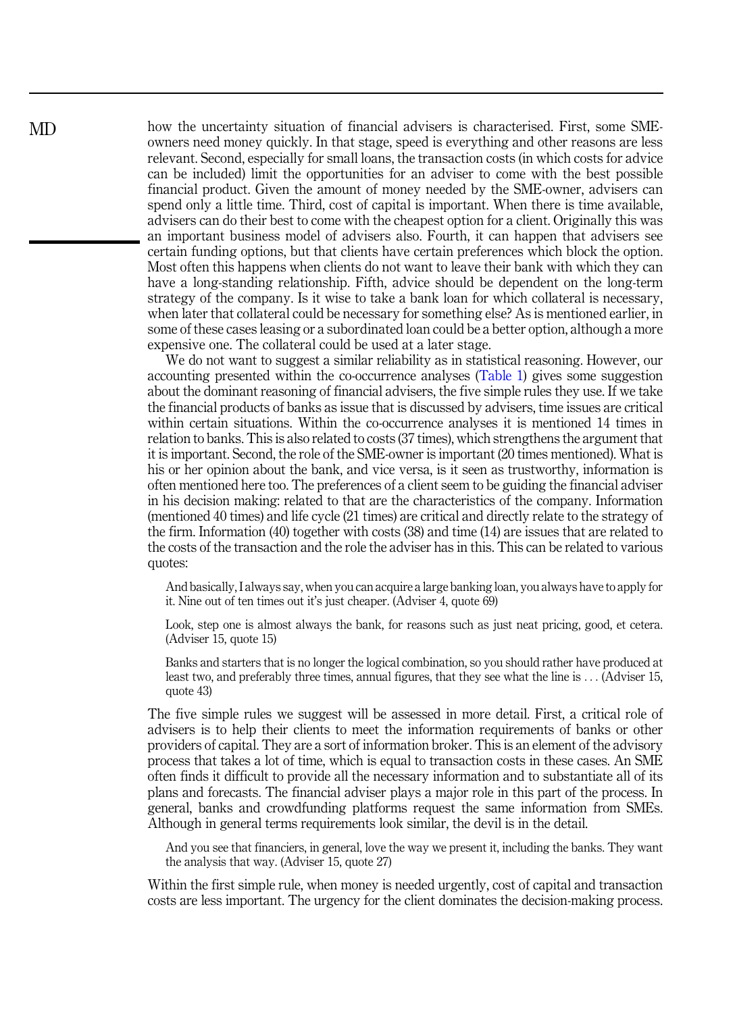how the uncertainty situation of financial advisers is characterised. First, some SMEowners need money quickly. In that stage, speed is everything and other reasons are less relevant. Second, especially for small loans, the transaction costs (in which costs for advice can be included) limit the opportunities for an adviser to come with the best possible financial product. Given the amount of money needed by the SME-owner, advisers can spend only a little time. Third, cost of capital is important. When there is time available, advisers can do their best to come with the cheapest option for a client. Originally this was an important business model of advisers also. Fourth, it can happen that advisers see certain funding options, but that clients have certain preferences which block the option. Most often this happens when clients do not want to leave their bank with which they can have a long-standing relationship. Fifth, advice should be dependent on the long-term strategy of the company. Is it wise to take a bank loan for which collateral is necessary, when later that collateral could be necessary for something else? As is mentioned earlier, in some of these cases leasing or a subordinated loan could be a better option, although a more expensive one. The collateral could be used at a later stage.

We do not want to suggest a similar reliability as in statistical reasoning. However, our accounting presented within the co-occurrence analyses ([Table 1](#page-9-0)) gives some suggestion about the dominant reasoning of financial advisers, the five simple rules they use. If we take the financial products of banks as issue that is discussed by advisers, time issues are critical within certain situations. Within the co-occurrence analyses it is mentioned 14 times in relation to banks. This is also related to costs (37 times), which strengthens the argument that it is important. Second, the role of the SME-owner is important (20 times mentioned). What is his or her opinion about the bank, and vice versa, is it seen as trustworthy, information is often mentioned here too. The preferences of a client seem to be guiding the financial adviser in his decision making: related to that are the characteristics of the company. Information (mentioned 40 times) and life cycle (21 times) are critical and directly relate to the strategy of the firm. Information (40) together with costs (38) and time (14) are issues that are related to the costs of the transaction and the role the adviser has in this. This can be related to various quotes:

And basically, I always say, when you can acquire a large banking loan, you always have to apply for it. Nine out of ten times out it's just cheaper. (Adviser 4, quote 69)

Look, step one is almost always the bank, for reasons such as just neat pricing, good, et cetera. (Adviser 15, quote 15)

Banks and starters that is no longer the logical combination, so you should rather have produced at least two, and preferably three times, annual figures, that they see what the line is ... (Adviser 15, quote 43)

The five simple rules we suggest will be assessed in more detail. First, a critical role of advisers is to help their clients to meet the information requirements of banks or other providers of capital. They are a sort of information broker. This is an element of the advisory process that takes a lot of time, which is equal to transaction costs in these cases. An SME often finds it difficult to provide all the necessary information and to substantiate all of its plans and forecasts. The financial adviser plays a major role in this part of the process. In general, banks and crowdfunding platforms request the same information from SMEs. Although in general terms requirements look similar, the devil is in the detail.

And you see that financiers, in general, love the way we present it, including the banks. They want the analysis that way. (Adviser 15, quote 27)

Within the first simple rule, when money is needed urgently, cost of capital and transaction costs are less important. The urgency for the client dominates the decision-making process.

MD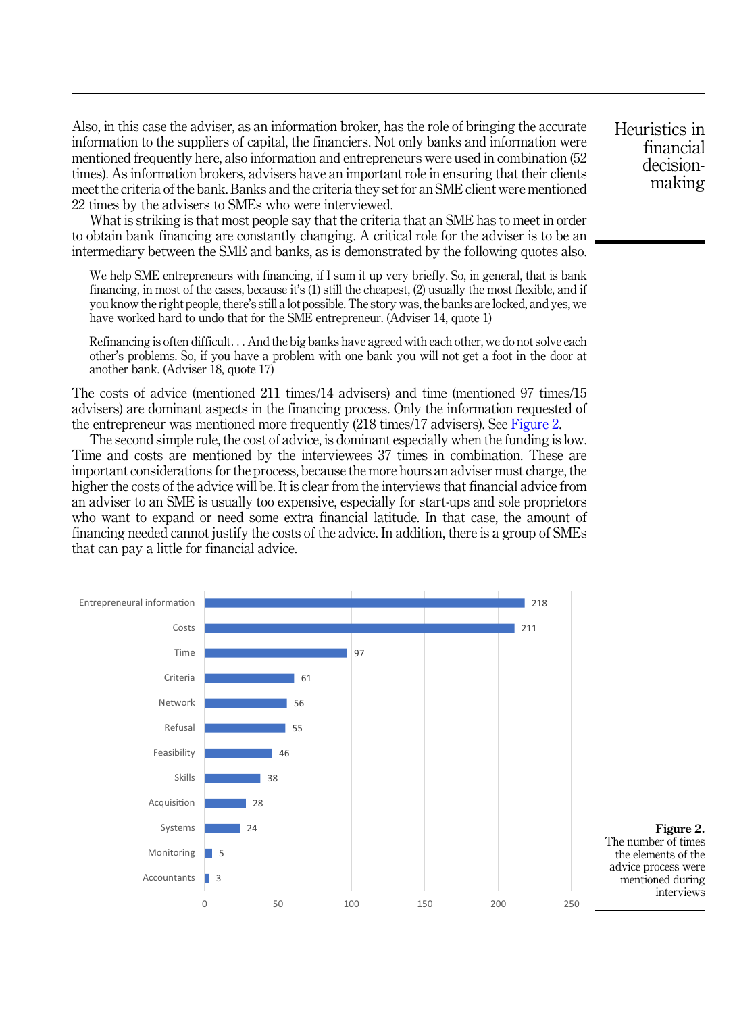Also, in this case the adviser, as an information broker, has the role of bringing the accurate information to the suppliers of capital, the financiers. Not only banks and information were mentioned frequently here, also information and entrepreneurs were used in combination (52 times). As information brokers, advisers have an important role in ensuring that their clients meet the criteria of the bank. Banks and the criteria they set for an SME client were mentioned 22 times by the advisers to SMEs who were interviewed.

What is striking is that most people say that the criteria that an SME has to meet in order to obtain bank financing are constantly changing. A critical role for the adviser is to be an intermediary between the SME and banks, as is demonstrated by the following quotes also.

We help SME entrepreneurs with financing, if I sum it up very briefly. So, in general, that is bank financing, in most of the cases, because it's (1) still the cheapest, (2) usually the most flexible, and if you know the right people, there's still a lot possible. The story was, the banks are locked, and yes, we have worked hard to undo that for the SME entrepreneur. (Adviser 14, quote 1)

Refinancing is often difficult... And the big banks have agreed with each other, we do not solve each other's problems. So, if you have a problem with one bank you will not get a foot in the door at another bank. (Adviser 18, quote 17)

The costs of advice (mentioned 211 times/14 advisers) and time (mentioned 97 times/15 advisers) are dominant aspects in the financing process. Only the information requested of the entrepreneur was mentioned more frequently (218 times/17 advisers). See Figure 2.

The second simple rule, the cost of advice, is dominant especially when the funding is low. Time and costs are mentioned by the interviewees 37 times in combination. These are important considerations for the process, because the more hours an adviser must charge, the higher the costs of the advice will be. It is clear from the interviews that financial advice from an adviser to an SME is usually too expensive, especially for start-ups and sole proprietors who want to expand or need some extra financial latitude. In that case, the amount of financing needed cannot justify the costs of the advice. In addition, there is a group of SMEs that can pay a little for financial advice.

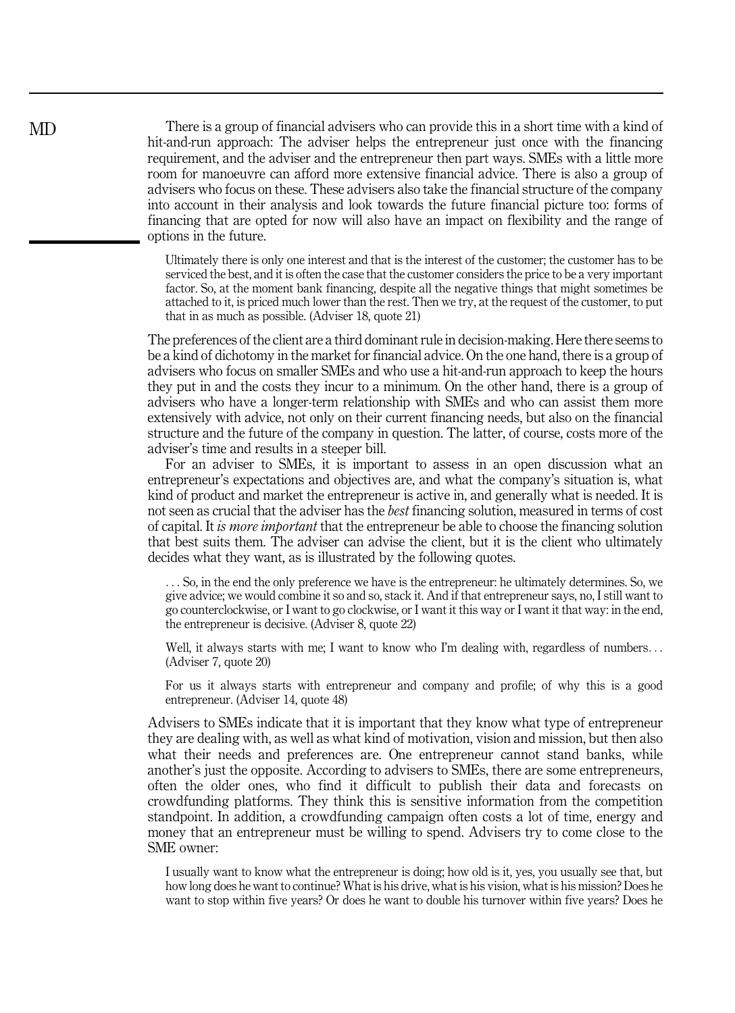There is a group of financial advisers who can provide this in a short time with a kind of hit-and-run approach: The adviser helps the entrepreneur just once with the financing requirement, and the adviser and the entrepreneur then part ways. SMEs with a little more room for manoeuvre can afford more extensive financial advice. There is also a group of advisers who focus on these. These advisers also take the financial structure of the company into account in their analysis and look towards the future financial picture too: forms of financing that are opted for now will also have an impact on flexibility and the range of options in the future.

Ultimately there is only one interest and that is the interest of the customer; the customer has to be serviced the best, and it is often the case that the customer considers the price to be a very important factor. So, at the moment bank financing, despite all the negative things that might sometimes be attached to it, is priced much lower than the rest. Then we try, at the request of the customer, to put that in as much as possible. (Adviser 18, quote 21)

The preferences of the client are a third dominant rule in decision-making. Here there seems to be a kind of dichotomy in the market for financial advice. On the one hand, there is a group of advisers who focus on smaller SMEs and who use a hit-and-run approach to keep the hours they put in and the costs they incur to a minimum. On the other hand, there is a group of advisers who have a longer-term relationship with SMEs and who can assist them more extensively with advice, not only on their current financing needs, but also on the financial structure and the future of the company in question. The latter, of course, costs more of the adviser's time and results in a steeper bill.

For an adviser to SMEs, it is important to assess in an open discussion what an entrepreneur's expectations and objectives are, and what the company's situation is, what kind of product and market the entrepreneur is active in, and generally what is needed. It is not seen as crucial that the adviser has the best financing solution, measured in terms of cost of capital. It is more important that the entrepreneur be able to choose the financing solution that best suits them. The adviser can advise the client, but it is the client who ultimately decides what they want, as is illustrated by the following quotes.

... So, in the end the only preference we have is the entrepreneur: he ultimately determines. So, we give advice; we would combine it so and so, stack it. And if that entrepreneur says, no, I still want to go counterclockwise, or I want to go clockwise, or I want it this way or I want it that way: in the end, the entrepreneur is decisive. (Adviser 8, quote 22)

Well, it always starts with me; I want to know who I'm dealing with, regardless of numbers... (Adviser 7, quote 20)

For us it always starts with entrepreneur and company and profile; of why this is a good entrepreneur. (Adviser 14, quote 48)

Advisers to SMEs indicate that it is important that they know what type of entrepreneur they are dealing with, as well as what kind of motivation, vision and mission, but then also what their needs and preferences are. One entrepreneur cannot stand banks, while another's just the opposite. According to advisers to SMEs, there are some entrepreneurs, often the older ones, who find it difficult to publish their data and forecasts on crowdfunding platforms. They think this is sensitive information from the competition standpoint. In addition, a crowdfunding campaign often costs a lot of time, energy and money that an entrepreneur must be willing to spend. Advisers try to come close to the SME owner:

I usually want to know what the entrepreneur is doing; how old is it, yes, you usually see that, but how long does he want to continue? What is his drive, what is his vision, what is his mission? Does he want to stop within five years? Or does he want to double his turnover within five years? Does he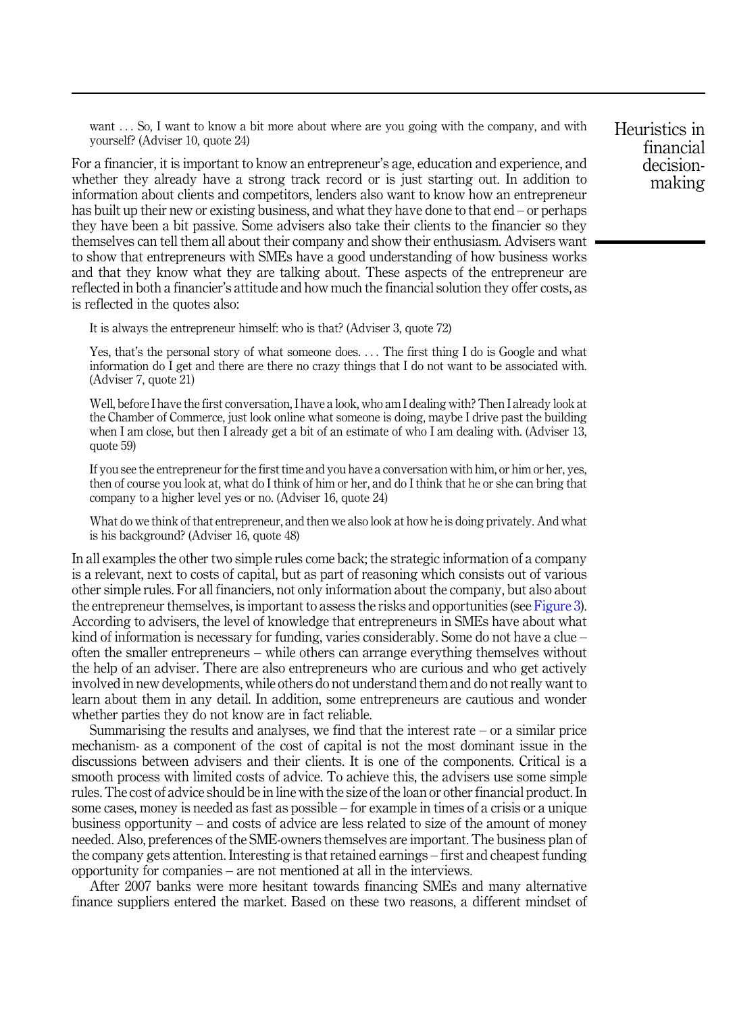want ... So, I want to know a bit more about where are you going with the company, and with yourself? (Adviser 10, quote 24)

For a financier, it is important to know an entrepreneur's age, education and experience, and whether they already have a strong track record or is just starting out. In addition to information about clients and competitors, lenders also want to know how an entrepreneur has built up their new or existing business, and what they have done to that end – or perhaps they have been a bit passive. Some advisers also take their clients to the financier so they themselves can tell them all about their company and show their enthusiasm. Advisers want to show that entrepreneurs with SMEs have a good understanding of how business works and that they know what they are talking about. These aspects of the entrepreneur are reflected in both a financier's attitude and how much the financial solution they offer costs, as is reflected in the quotes also:

It is always the entrepreneur himself: who is that? (Adviser 3, quote 72)

Yes, that's the personal story of what someone does. ... The first thing I do is Google and what information do I get and there are there no crazy things that I do not want to be associated with. (Adviser 7, quote 21)

Well, before I have the first conversation, I have a look, who am I dealing with? Then I already look at the Chamber of Commerce, just look online what someone is doing, maybe I drive past the building when I am close, but then I already get a bit of an estimate of who I am dealing with. (Adviser 13, quote 59)

If you see the entrepreneur for the first time and you have a conversation with him, or him or her, yes, then of course you look at, what do I think of him or her, and do I think that he or she can bring that company to a higher level yes or no. (Adviser 16, quote 24)

What do we think of that entrepreneur, and then we also look at how he is doing privately. And what is his background? (Adviser 16, quote 48)

In all examples the other two simple rules come back; the strategic information of a company is a relevant, next to costs of capital, but as part of reasoning which consists out of various other simple rules. For all financiers, not only information about the company, but also about the entrepreneur themselves, is important to assess the risks and opportunities (see [Figure 3\)](#page-16-0). According to advisers, the level of knowledge that entrepreneurs in SMEs have about what kind of information is necessary for funding, varies considerably. Some do not have a clue – often the smaller entrepreneurs – while others can arrange everything themselves without the help of an adviser. There are also entrepreneurs who are curious and who get actively involved in new developments, while others do not understand them and do not really want to learn about them in any detail. In addition, some entrepreneurs are cautious and wonder whether parties they do not know are in fact reliable.

Summarising the results and analyses, we find that the interest rate  $-$  or a similar price mechanism- as a component of the cost of capital is not the most dominant issue in the discussions between advisers and their clients. It is one of the components. Critical is a smooth process with limited costs of advice. To achieve this, the advisers use some simple rules. The cost of advice should be in line with the size of the loan or other financial product. In some cases, money is needed as fast as possible – for example in times of a crisis or a unique business opportunity – and costs of advice are less related to size of the amount of money needed. Also, preferences of the SME-owners themselves are important. The business plan of the company gets attention. Interesting is that retained earnings – first and cheapest funding opportunity for companies – are not mentioned at all in the interviews.

After 2007 banks were more hesitant towards financing SMEs and many alternative finance suppliers entered the market. Based on these two reasons, a different mindset of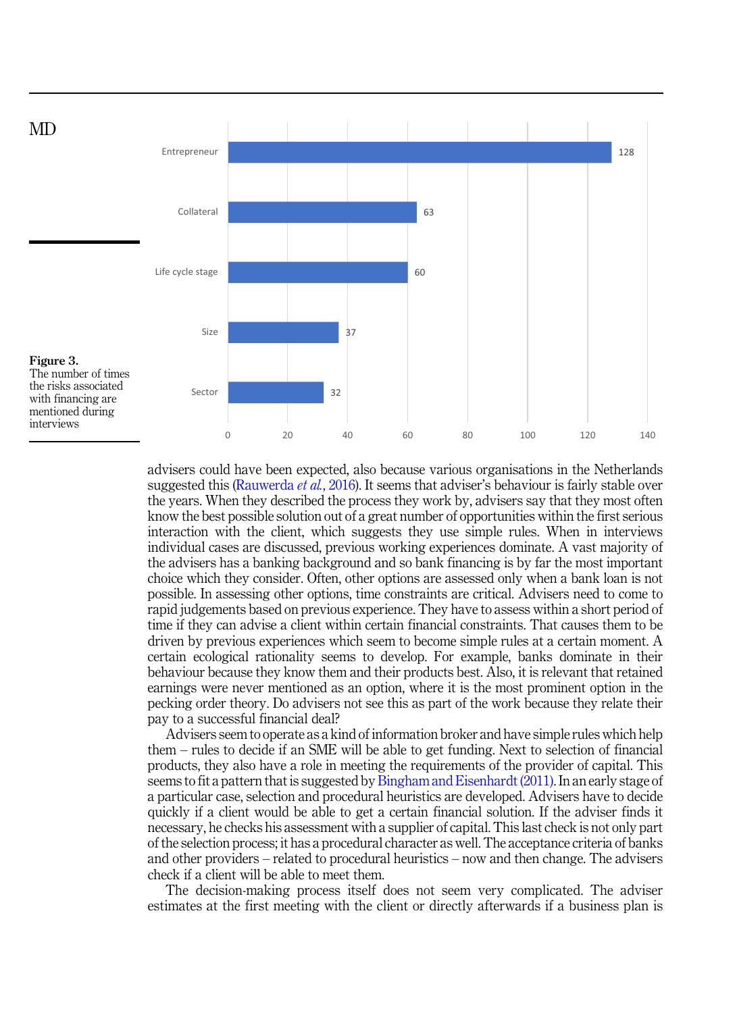<span id="page-16-0"></span>

advisers could have been expected, also because various organisations in the Netherlands suggested this ([Rauwerda](#page-22-0) *et al.*, 2016). It seems that adviser's behaviour is fairly stable over the years. When they described the process they work by, advisers say that they most often know the best possible solution out of a great number of opportunities within the first serious interaction with the client, which suggests they use simple rules. When in interviews individual cases are discussed, previous working experiences dominate. A vast majority of the advisers has a banking background and so bank financing is by far the most important choice which they consider. Often, other options are assessed only when a bank loan is not possible. In assessing other options, time constraints are critical. Advisers need to come to rapid judgements based on previous experience. They have to assess within a short period of time if they can advise a client within certain financial constraints. That causes them to be driven by previous experiences which seem to become simple rules at a certain moment. A certain ecological rationality seems to develop. For example, banks dominate in their behaviour because they know them and their products best. Also, it is relevant that retained earnings were never mentioned as an option, where it is the most prominent option in the pecking order theory. Do advisers not see this as part of the work because they relate their pay to a successful financial deal?

Advisers seem to operate as a kind of information broker and have simple rules which help them – rules to decide if an SME will be able to get funding. Next to selection of financial products, they also have a role in meeting the requirements of the provider of capital. This seems to fit a pattern that is suggested by [Bingham and Eisenhardt \(2011\).](#page-20-0) In an early stage of a particular case, selection and procedural heuristics are developed. Advisers have to decide quickly if a client would be able to get a certain financial solution. If the adviser finds it necessary, he checks his assessment with a supplier of capital. This last check is not only part of the selection process; it has a procedural character as well. The acceptance criteria of banks and other providers – related to procedural heuristics – now and then change. The advisers check if a client will be able to meet them.

The decision-making process itself does not seem very complicated. The adviser estimates at the first meeting with the client or directly afterwards if a business plan is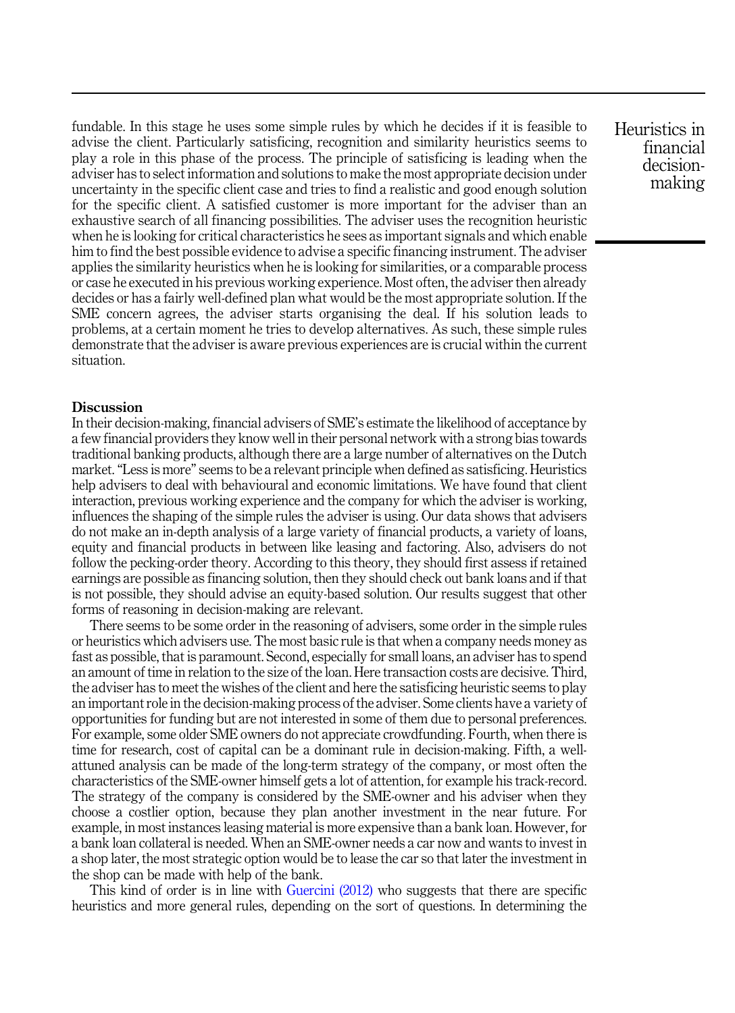fundable. In this stage he uses some simple rules by which he decides if it is feasible to advise the client. Particularly satisficing, recognition and similarity heuristics seems to play a role in this phase of the process. The principle of satisficing is leading when the adviser has to select information and solutions to make the most appropriate decision under uncertainty in the specific client case and tries to find a realistic and good enough solution for the specific client. A satisfied customer is more important for the adviser than an exhaustive search of all financing possibilities. The adviser uses the recognition heuristic when he is looking for critical characteristics he sees as important signals and which enable him to find the best possible evidence to advise a specific financing instrument. The adviser applies the similarity heuristics when he is looking for similarities, or a comparable process or case he executed in his previous working experience. Most often, the adviser then already decides or has a fairly well-defined plan what would be the most appropriate solution. If the SME concern agrees, the adviser starts organising the deal. If his solution leads to problems, at a certain moment he tries to develop alternatives. As such, these simple rules demonstrate that the adviser is aware previous experiences are is crucial within the current situation.

#### **Discussion**

In their decision-making, financial advisers of SME's estimate the likelihood of acceptance by a few financial providers they know well in their personal network with a strong bias towards traditional banking products, although there are a large number of alternatives on the Dutch market."Less is more" seems to be a relevant principle when defined as satisficing. Heuristics help advisers to deal with behavioural and economic limitations. We have found that client interaction, previous working experience and the company for which the adviser is working, influences the shaping of the simple rules the adviser is using. Our data shows that advisers do not make an in-depth analysis of a large variety of financial products, a variety of loans, equity and financial products in between like leasing and factoring. Also, advisers do not follow the pecking-order theory. According to this theory, they should first assess if retained earnings are possible as financing solution, then they should check out bank loans and if that is not possible, they should advise an equity-based solution. Our results suggest that other forms of reasoning in decision-making are relevant.

There seems to be some order in the reasoning of advisers, some order in the simple rules or heuristics which advisers use. The most basic rule is that when a company needs money as fast as possible, that is paramount. Second, especially for small loans, an adviser has to spend an amount of time in relation to the size of the loan. Here transaction costs are decisive. Third, the adviser has to meet the wishes of the client and here the satisficing heuristic seems to play an important role in the decision-making process of the adviser. Some clients have a variety of opportunities for funding but are not interested in some of them due to personal preferences. For example, some older SME owners do not appreciate crowdfunding. Fourth, when there is time for research, cost of capital can be a dominant rule in decision-making. Fifth, a wellattuned analysis can be made of the long-term strategy of the company, or most often the characteristics of the SME-owner himself gets a lot of attention, for example his track-record. The strategy of the company is considered by the SME-owner and his adviser when they choose a costlier option, because they plan another investment in the near future. For example, in most instances leasing material is more expensive than a bank loan. However, for a bank loan collateral is needed. When an SME-owner needs a car now and wants to invest in a shop later, the most strategic option would be to lease the car so that later the investment in the shop can be made with help of the bank.

This kind of order is in line with [Guercini \(2012\)](#page-21-0) who suggests that there are specific heuristics and more general rules, depending on the sort of questions. In determining the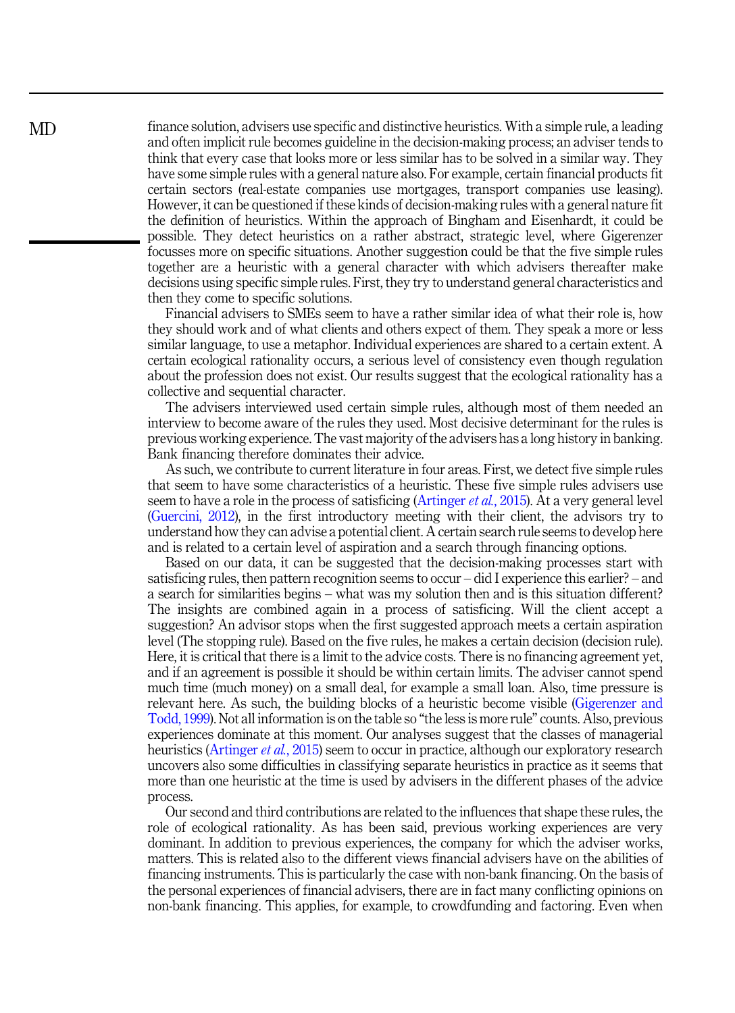finance solution, advisers use specific and distinctive heuristics. With a simple rule, a leading and often implicit rule becomes guideline in the decision-making process; an adviser tends to think that every case that looks more or less similar has to be solved in a similar way. They have some simple rules with a general nature also. For example, certain financial products fit certain sectors (real-estate companies use mortgages, transport companies use leasing). However, it can be questioned if these kinds of decision-making rules with a general nature fit the definition of heuristics. Within the approach of Bingham and Eisenhardt, it could be possible. They detect heuristics on a rather abstract, strategic level, where Gigerenzer focusses more on specific situations. Another suggestion could be that the five simple rules together are a heuristic with a general character with which advisers thereafter make decisions using specific simple rules. First, they try to understand general characteristics and then they come to specific solutions.

Financial advisers to SMEs seem to have a rather similar idea of what their role is, how they should work and of what clients and others expect of them. They speak a more or less similar language, to use a metaphor. Individual experiences are shared to a certain extent. A certain ecological rationality occurs, a serious level of consistency even though regulation about the profession does not exist. Our results suggest that the ecological rationality has a collective and sequential character.

The advisers interviewed used certain simple rules, although most of them needed an interview to become aware of the rules they used. Most decisive determinant for the rules is previous working experience. The vast majority of the advisers has a long history in banking. Bank financing therefore dominates their advice.

As such, we contribute to current literature in four areas. First, we detect five simple rules that seem to have some characteristics of a heuristic. These five simple rules advisers use seem to have a role in the process of satisficing ([Artinger](#page-20-0) *et al.*, 2015). At a very general level ([Guercini, 2012\)](#page-21-0), in the first introductory meeting with their client, the advisors try to understand how they can advise a potential client. A certain search rule seems to develop here and is related to a certain level of aspiration and a search through financing options.

Based on our data, it can be suggested that the decision-making processes start with satisficing rules, then pattern recognition seems to occur – did I experience this earlier? – and a search for similarities begins – what was my solution then and is this situation different? The insights are combined again in a process of satisficing. Will the client accept a suggestion? An advisor stops when the first suggested approach meets a certain aspiration level (The stopping rule). Based on the five rules, he makes a certain decision (decision rule). Here, it is critical that there is a limit to the advice costs. There is no financing agreement yet, and if an agreement is possible it should be within certain limits. The adviser cannot spend much time (much money) on a small deal, for example a small loan. Also, time pressure is relevant here. As such, the building blocks of a heuristic become visible [\(Gigerenzer and](#page-21-0) [Todd, 1999\)](#page-21-0). Not all information is on the table so "the less is more rule" counts. Also, previous experiences dominate at this moment. Our analyses suggest that the classes of managerial heuristics [\(Artinger](#page-20-0) *et al.*, 2015) seem to occur in practice, although our exploratory research uncovers also some difficulties in classifying separate heuristics in practice as it seems that more than one heuristic at the time is used by advisers in the different phases of the advice process.

Our second and third contributions are related to the influences that shape these rules, the role of ecological rationality. As has been said, previous working experiences are very dominant. In addition to previous experiences, the company for which the adviser works, matters. This is related also to the different views financial advisers have on the abilities of financing instruments. This is particularly the case with non-bank financing. On the basis of the personal experiences of financial advisers, there are in fact many conflicting opinions on non-bank financing. This applies, for example, to crowdfunding and factoring. Even when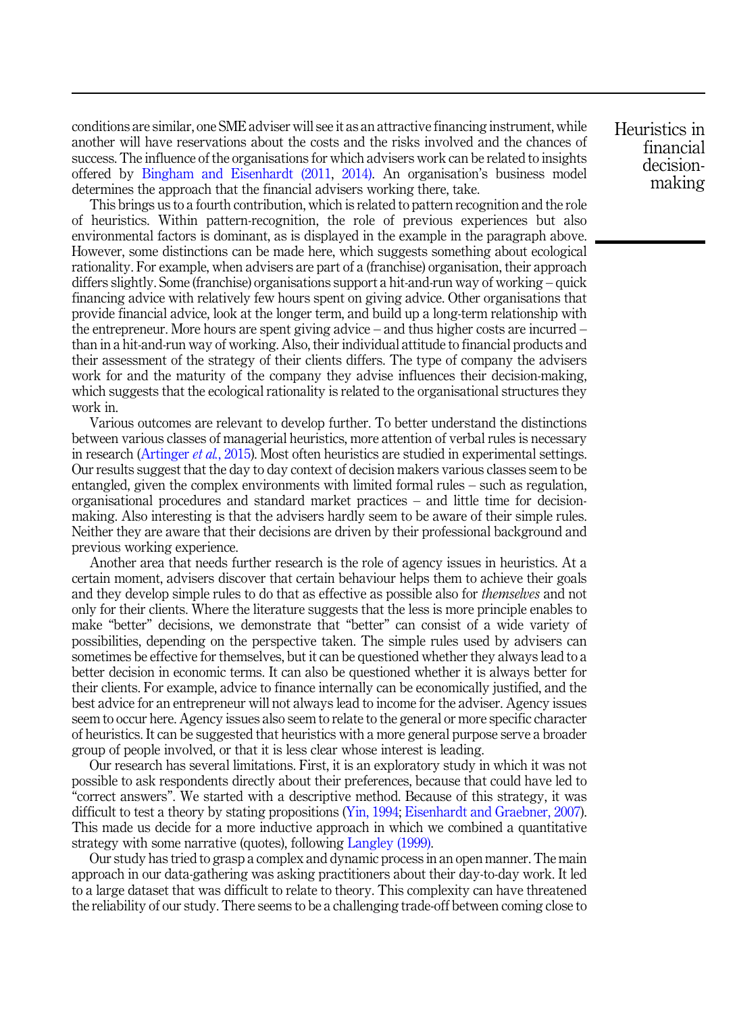conditions are similar, one SME adviser will see it as an attractive financing instrument, while another will have reservations about the costs and the risks involved and the chances of success. The influence of the organisations for which advisers work can be related to insights offered by [Bingham and Eisenhardt \(2011](#page-20-0), [2014\).](#page-20-0) An organisation's business model determines the approach that the financial advisers working there, take.

This brings us to a fourth contribution, which is related to pattern recognition and the role of heuristics. Within pattern-recognition, the role of previous experiences but also environmental factors is dominant, as is displayed in the example in the paragraph above. However, some distinctions can be made here, which suggests something about ecological rationality. For example, when advisers are part of a (franchise) organisation, their approach differs slightly. Some (franchise) organisations support a hit-and-run way of working – quick financing advice with relatively few hours spent on giving advice. Other organisations that provide financial advice, look at the longer term, and build up a long-term relationship with the entrepreneur. More hours are spent giving advice – and thus higher costs are incurred – than in a hit-and-run way of working. Also, their individual attitude to financial products and their assessment of the strategy of their clients differs. The type of company the advisers work for and the maturity of the company they advise influences their decision-making, which suggests that the ecological rationality is related to the organisational structures they work in.

Various outcomes are relevant to develop further. To better understand the distinctions between various classes of managerial heuristics, more attention of verbal rules is necessary in research [\(Artinger](#page-20-0) *et al.*, 2015). Most often heuristics are studied in experimental settings. Our results suggest that the day to day context of decision makers various classes seem to be entangled, given the complex environments with limited formal rules – such as regulation, organisational procedures and standard market practices – and little time for decisionmaking. Also interesting is that the advisers hardly seem to be aware of their simple rules. Neither they are aware that their decisions are driven by their professional background and previous working experience.

Another area that needs further research is the role of agency issues in heuristics. At a certain moment, advisers discover that certain behaviour helps them to achieve their goals and they develop simple rules to do that as effective as possible also for *themselves* and not only for their clients. Where the literature suggests that the less is more principle enables to make "better" decisions, we demonstrate that "better" can consist of a wide variety of possibilities, depending on the perspective taken. The simple rules used by advisers can sometimes be effective for themselves, but it can be questioned whether they always lead to a better decision in economic terms. It can also be questioned whether it is always better for their clients. For example, advice to finance internally can be economically justified, and the best advice for an entrepreneur will not always lead to income for the adviser. Agency issues seem to occur here. Agency issues also seem to relate to the general or more specific character of heuristics. It can be suggested that heuristics with a more general purpose serve a broader group of people involved, or that it is less clear whose interest is leading.

Our research has several limitations. First, it is an exploratory study in which it was not possible to ask respondents directly about their preferences, because that could have led to "correct answers". We started with a descriptive method. Because of this strategy, it was difficult to test a theory by stating propositions [\(Yin, 1994;](#page-22-0) [Eisenhardt and Graebner, 2007\)](#page-21-0). This made us decide for a more inductive approach in which we combined a quantitative strategy with some narrative (quotes), following [Langley \(1999\)](#page-21-0).

Our study has tried to grasp a complex and dynamic process in an open manner. The main approach in our data-gathering was asking practitioners about their day-to-day work. It led to a large dataset that was difficult to relate to theory. This complexity can have threatened the reliability of our study. There seems to be a challenging trade-off between coming close to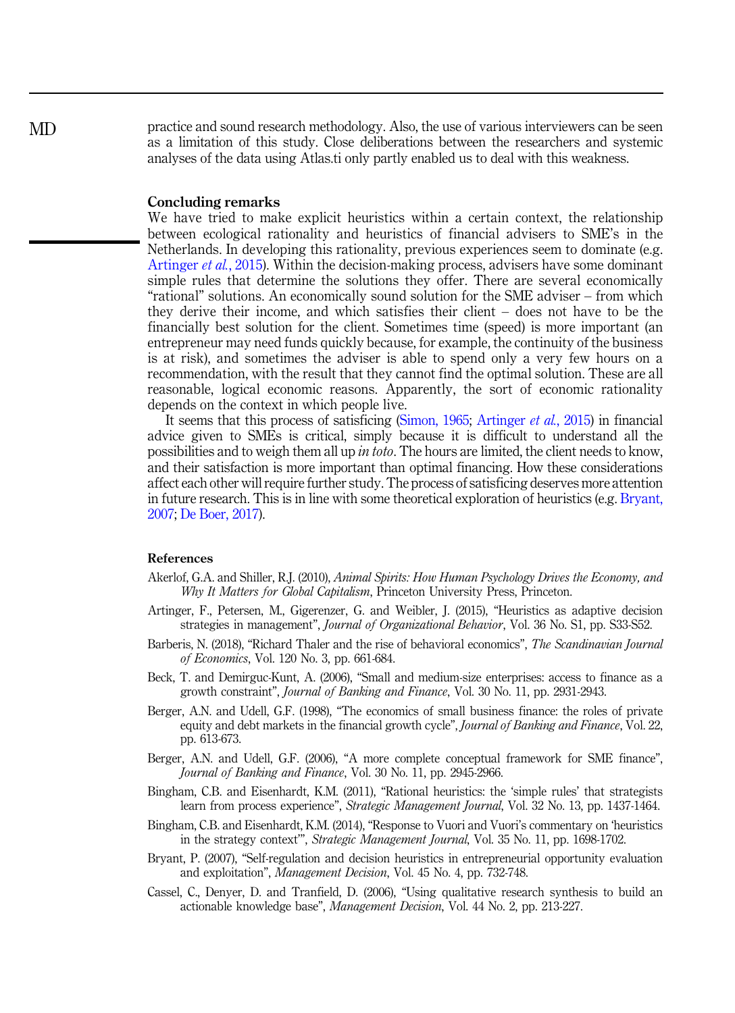<span id="page-20-0"></span>practice and sound research methodology. Also, the use of various interviewers can be seen as a limitation of this study. Close deliberations between the researchers and systemic analyses of the data using Atlas.ti only partly enabled us to deal with this weakness.

#### Concluding remarks

We have tried to make explicit heuristics within a certain context, the relationship between ecological rationality and heuristics of financial advisers to SME's in the Netherlands. In developing this rationality, previous experiences seem to dominate (e.g. Artinger et al., 2015). Within the decision-making process, advisers have some dominant simple rules that determine the solutions they offer. There are several economically "rational" solutions. An economically sound solution for the SME adviser – from which they derive their income, and which satisfies their client – does not have to be the financially best solution for the client. Sometimes time (speed) is more important (an entrepreneur may need funds quickly because, for example, the continuity of the business is at risk), and sometimes the adviser is able to spend only a very few hours on a recommendation, with the result that they cannot find the optimal solution. These are all reasonable, logical economic reasons. Apparently, the sort of economic rationality depends on the context in which people live.

It seems that this process of satisficing [\(Simon, 1965](#page-22-0); Artinger et al., 2015) in financial advice given to SMEs is critical, simply because it is difficult to understand all the possibilities and to weigh them all up *in toto*. The hours are limited, the client needs to know, and their satisfaction is more important than optimal financing. How these considerations affect each other will require further study. The process of satisficing deserves more attention in future research. This is in line with some theoretical exploration of heuristics (e.g. Bryant, 2007; [De Boer, 2017\)](#page-21-0).

#### References

- Akerlof, G.A. and Shiller, R.J. (2010), Animal Spirits: How Human Psychology Drives the Economy, and Why It Matters for Global Capitalism, Princeton University Press, Princeton.
- Artinger, F., Petersen, M., Gigerenzer, G. and Weibler, J. (2015), "Heuristics as adaptive decision strategies in management", *Journal of Organizational Behavior*, Vol. 36 No. S1, pp. S33-S52.
- Barberis, N. (2018), "Richard Thaler and the rise of behavioral economics", The Scandinavian Journal of Economics, Vol. 120 No. 3, pp. 661-684.
- Beck, T. and Demirguc-Kunt, A. (2006), "Small and medium-size enterprises: access to finance as a growth constraint", Journal of Banking and Finance, Vol. 30 No. 11, pp. 2931-2943.
- Berger, A.N. and Udell, G.F. (1998), "The economics of small business finance: the roles of private equity and debt markets in the financial growth cycle", Journal of Banking and Finance, Vol. 22, pp. 613-673.
- Berger, A.N. and Udell, G.F. (2006), "A more complete conceptual framework for SME finance", Journal of Banking and Finance, Vol. 30 No. 11, pp. 2945-2966.
- Bingham, C.B. and Eisenhardt, K.M. (2011), "Rational heuristics: the 'simple rules' that strategists learn from process experience", *Strategic Management Journal*, Vol. 32 No. 13, pp. 1437-1464.
- Bingham, C.B. and Eisenhardt, K.M. (2014), "Response to Vuori and Vuori's commentary on 'heuristics in the strategy context'", Strategic Management Journal, Vol. 35 No. 11, pp. 1698-1702.
- Bryant, P. (2007), "Self-regulation and decision heuristics in entrepreneurial opportunity evaluation and exploitation", Management Decision, Vol. 45 No. 4, pp. 732-748.
- Cassel, C., Denyer, D. and Tranfield, D. (2006), "Using qualitative research synthesis to build an actionable knowledge base", Management Decision, Vol. 44 No. 2, pp. 213-227.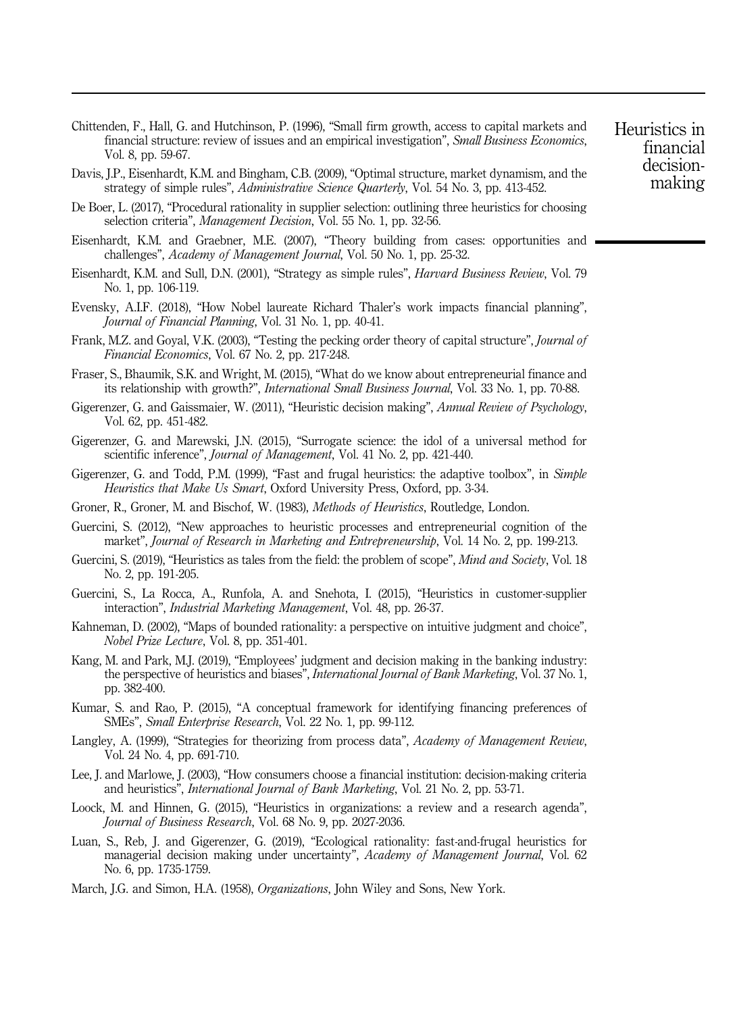<span id="page-21-0"></span>Chittenden, F., Hall, G. and Hutchinson, P. (1996), "Small firm growth, access to capital markets and financial structure: review of issues and an empirical investigation", Small Business Economics, Vol. 8, pp. 59-67.

- Davis, J.P., Eisenhardt, K.M. and Bingham, C.B. (2009), "Optimal structure, market dynamism, and the strategy of simple rules", Administrative Science Quarterly, Vol. 54 No. 3, pp. 413-452.
- De Boer, L. (2017), "Procedural rationality in supplier selection: outlining three heuristics for choosing selection criteria", Management Decision, Vol. 55 No. 1, pp. 32-56.
- Eisenhardt, K.M. and Graebner, M.E. (2007), "Theory building from cases: opportunities and challenges", Academy of Management Journal, Vol. 50 No. 1, pp. 25-32.
- Eisenhardt, K.M. and Sull, D.N. (2001), "Strategy as simple rules", Harvard Business Review, Vol. 79 No. 1, pp. 106-119.
- Evensky, A.I.F. (2018), "How Nobel laureate Richard Thaler's work impacts financial planning", Journal of Financial Planning, Vol. 31 No. 1, pp. 40-41.
- Frank, M.Z. and Goyal, V.K. (2003), "Testing the pecking order theory of capital structure", *Journal of* Financial Economics, Vol. 67 No. 2, pp. 217-248.
- Fraser, S., Bhaumik, S.K. and Wright, M. (2015), "What do we know about entrepreneurial finance and its relationship with growth?", International Small Business Journal, Vol. 33 No. 1, pp. 70-88.
- Gigerenzer, G. and Gaissmaier, W. (2011), "Heuristic decision making", Annual Review of Psychology, Vol. 62, pp. 451-482.
- Gigerenzer, G. and Marewski, J.N. (2015), "Surrogate science: the idol of a universal method for scientific inference", *Journal of Management*, Vol. 41 No. 2, pp. 421-440.
- Gigerenzer, G. and Todd, P.M. (1999), "Fast and frugal heuristics: the adaptive toolbox", in Simple Heuristics that Make Us Smart, Oxford University Press, Oxford, pp. 3-34.
- Groner, R., Groner, M. and Bischof, W. (1983), Methods of Heuristics, Routledge, London.
- Guercini, S. (2012), "New approaches to heuristic processes and entrepreneurial cognition of the market", Journal of Research in Marketing and Entrepreneurship, Vol. 14 No. 2, pp. 199-213.
- Guercini, S. (2019), "Heuristics as tales from the field: the problem of scope", *Mind and Society*, Vol. 18 No. 2, pp. 191-205.
- Guercini, S., La Rocca, A., Runfola, A. and Snehota, I. (2015), "Heuristics in customer-supplier interaction", Industrial Marketing Management, Vol. 48, pp. 26-37.
- Kahneman, D. (2002), "Maps of bounded rationality: a perspective on intuitive judgment and choice", Nobel Prize Lecture, Vol. 8, pp. 351-401.
- Kang, M. and Park, M.J. (2019), "Employees' judgment and decision making in the banking industry: the perspective of heuristics and biases", *International Journal of Bank Marketing*, Vol. 37 No. 1, pp. 382-400.
- Kumar, S. and Rao, P. (2015), "A conceptual framework for identifying financing preferences of SMEs", Small Enterprise Research, Vol. 22 No. 1, pp. 99-112.
- Langley, A. (1999), "Strategies for theorizing from process data", Academy of Management Review, Vol. 24 No. 4, pp. 691-710.
- Lee, J. and Marlowe, J. (2003), "How consumers choose a financial institution: decision-making criteria and heuristics", International Journal of Bank Marketing, Vol. 21 No. 2, pp. 53-71.
- Loock, M. and Hinnen, G. (2015), "Heuristics in organizations: a review and a research agenda", Journal of Business Research, Vol. 68 No. 9, pp. 2027-2036.
- Luan, S., Reb, J. and Gigerenzer, G. (2019), "Ecological rationality: fast-and-frugal heuristics for managerial decision making under uncertainty", Academy of Management Journal, Vol. 62 No. 6, pp. 1735-1759.
- March, J.G. and Simon, H.A. (1958), *Organizations*, John Wiley and Sons, New York.